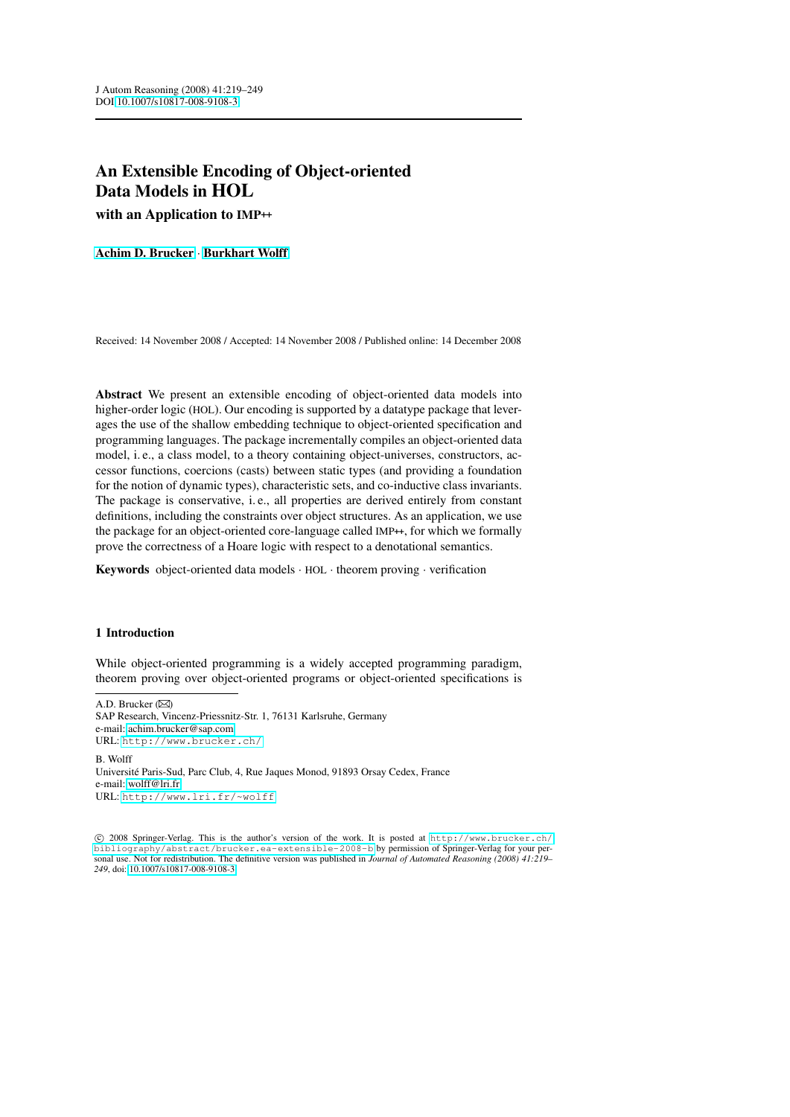# An Extensible Encoding of Object-oriented Data Models in HOL

[with an App](http://www.brucker.ch/)[lication to](http://www.lri.fr/~wolff) IMP<sup>++</sup>

Achim D. Brucker · Burkhart Wolff

Received: 14 November 2008 / Accepted: 14 November 2008 / Published online: 14 December 2008

Abstract We present an extensible encoding of object-oriented data models into higher-order logic (HOL). Our encoding is supported by a datatype package that leverages the use of the shallow embedding technique to object-oriented specification and programming languages. The package incrementally compiles an object-oriented data model, i. e., a class model, to a theory containing object-universes, constructors, accessor functions, coercions (casts) between static types (and providing a foundation for the notion of dynamic types), characteristic sets, and co-inductive class invariants. The package is conservative, i. e., all properties are derived entirely from constant definitions, including the constraints over object structures. As an application, we use the package for an object-oriented core-language called IMP++, for which we formally prove the correctness of a Hoare logic with respect to a denotational semantics.

Keywords object-oriented data models · HOL · theorem proving · verification

# 1 Introduction

While object-oriented programming is a widely accepted programming paradigm, theorem proving over object-oriented programs or object-oriented specifications is

A.D. Brucker  $(\boxtimes)$ [SAP Research, Vincenz-Priessnit](http://www.brucker.ch/)z-Str. 1, 76131 Karlsruhe, Germany e-mail: achim.brucker@sap.com URL: http://www.brucker.ch/ [B. Wolff](mailto:"Burkhart Wolff" <wolff@lri.fr>)

[Université Paris-Sud, Parc Club, 4, R](http://www.lri.fr/~wolff)ue Jaques Monod, 91893 Orsay Cedex, France e-mail: wolff@lri.fr URL: http://www.lri.fr/~wolff

 c [2008 Springer-Verlag. Th](http://dx.doi.org/10.1007/s10817-008-9108-3)is is the author's version of the work. It is posted at http://www.brucker.ch/ bibliography/abstract/brucker.ea-extensible-2008-b by permission of Springer-Verlag for your personal use. Not for redistribution. The definitive version was published in *Journal of Automated Reasoning (2008) 41:219– 249*, doi: 10.1007/s10817-008-9108-3.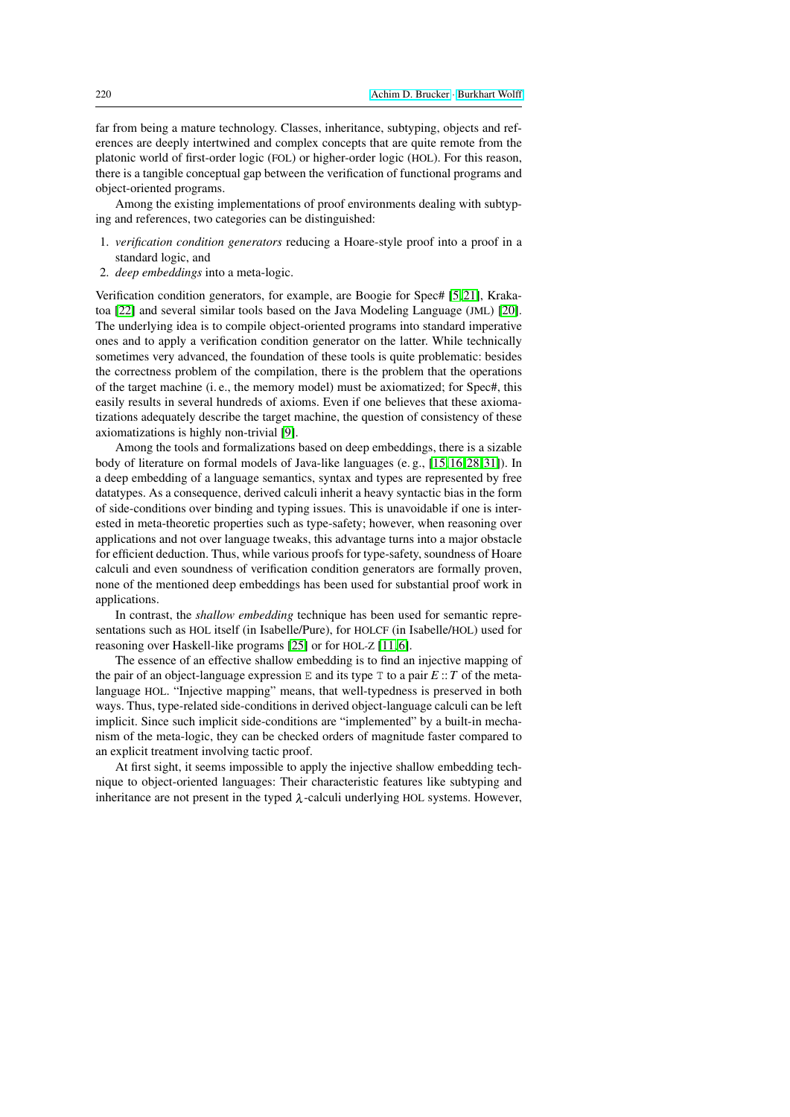far from being a mature technology. Classes, inheritance, subtyping, objects and references are deeply intertwined and complex concepts that are quite remote from the platonic world of first-order logic (FOL) or higher-order logic (HOL). For this reason, there is a tangible conceptual gap between the verification of functional programs and object-oriented programs.

Among the existing implementations of proof environments dealing with subtyping and references, two categories can be distinguished:

- 1. *verification condition generators* reducing a Hoare-style proof into a proof in a standard logic, and
- [2](#page-29-0). *deep embeddings* into a meta-logic.

Verification condition generators, for example, are Boogie for Spec# [5, 21], Krakatoa [22] and several similar tools based on the Java Modeling Language (JML) [20]. The underlying idea is to compile object-oriented programs into standard imperative ones and to apply a verification condition generator on the latter. While technically sometimes very advanced, the foundation of these tools is quite problematic: besides the correctness problem of the compilation, there is the problem that the operations of the target machine (i. e., the memory model) must be axiomatized; for Spec#, this easily results in several hundre[ds](#page-29-1) of axioms. Even if one believes that these axiomatizations adequately describe the target machine, the question of consistency of these axiomatizations is highly non-trivial [9].

Among the tools and formalizations based on deep embeddings, there is a sizable body of literature on formal models of Java-like languages (e. g., [15, 16, 28, 31]). In a deep embedding of a language semantics, syntax and types are represented by free datatypes. As a consequence, derived calculi inherit a heavy syntactic bias in the form of side-conditions over binding and typing issues. This is unavoidable if one is interested in meta-theoretic properties such as type-safety; however, when reasoning over applications and not over language tweaks, this advantage turns into a major obstacle for efficient deduction. Thus, while various proofs for type-safety, soundness of Hoare calculi and even soundness of verification condition generators are formally proven, none of the mentioned deep embeddings has been used for substantial proof work in applications.

In contrast, the *shallow emb[edd](#page-29-2)ing* technique [has](#page-29-3) [b](#page-28-0)een used for semantic representations such as HOL itself (in Isabelle/Pure), for HOLCF (in Isabelle/HOL) used for reasoning over Haskell-like programs [25] or for HOL-Z [11, 6].

The essence of an effective shallow embedding is to find an injective mapping of the pair of an object-language expression E and its type  $\Gamma$  to a pair  $E$  :: *T* of the metalanguage HOL. "Injective mapping" means, that well-typedness is preserved in both ways. Thus, type-related side-conditions in derived object-language calculi can be left implicit. Since such implicit side-conditions are "implemented" by a built-in mechanism of the meta-logic, they can be checked orders of magnitude faster compared to an explicit treatment involving tactic proof.

At first sight, it seems impossible to apply the injective shallow embedding technique to object-oriented languages: Their characteristic features like subtyping and inheritance are not present in the typed  $\lambda$ -calculi underlying HOL systems. However,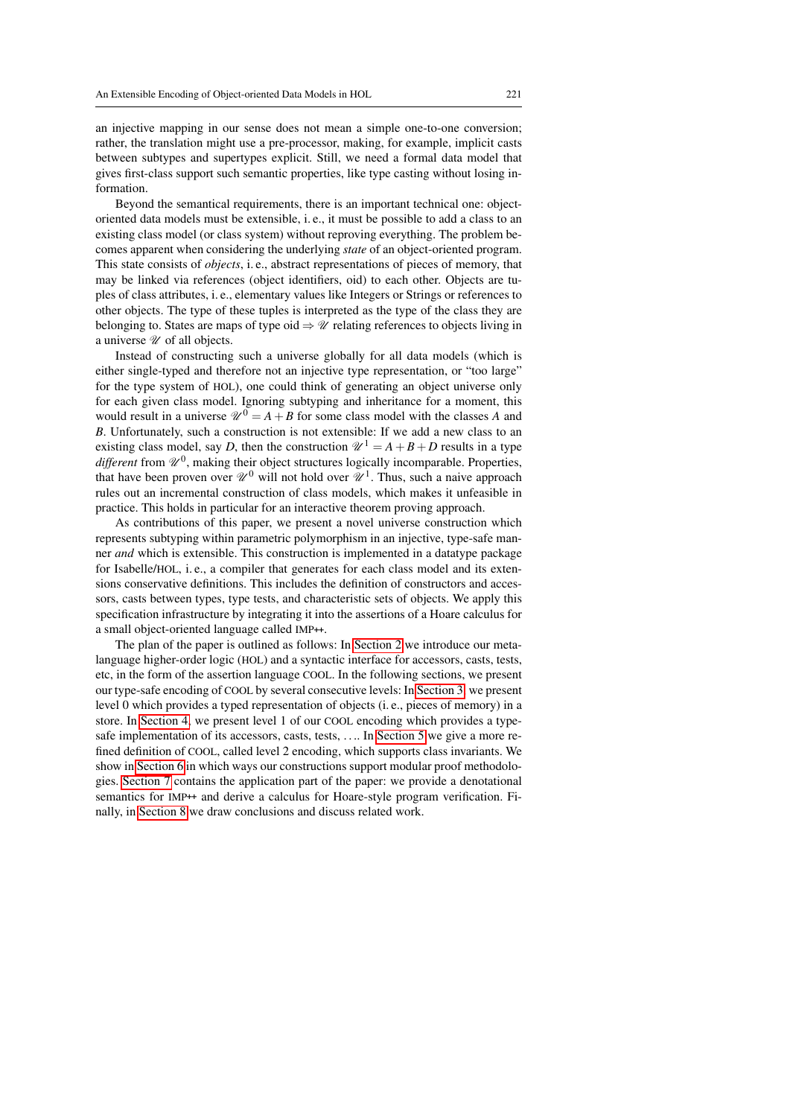an injective mapping in our sense does not mean a simple one-to-one conversion; rather, the translation might use a pre-processor, making, for example, implicit casts between subtypes and supertypes explicit. Still, we need a formal data model that gives first-class support such semantic properties, like type casting without losing information.

Beyond the semantical requirements, there is an important technical one: objectoriented data models must be extensible, i. e., it must be possible to add a class to an existing class model (or class system) without reproving everything. The problem becomes apparent when considering the underlying *state* of an object-oriented program. This state consists of *objects*, i. e., abstract representations of pieces of memory, that may be linked via references (object identifiers, oid) to each other. Objects are tuples of class attributes, i. e., elementary values like Integers or Strings or references to other objects. The type of these tuples is interpreted as the type of the class they are belonging to. States are maps of type oid  $\Rightarrow \mathcal{U}$  relating references to objects living in a universe  $\mathscr U$  of all objects.

Instead of constructing such a universe globally for all data models (which is either single-typed and therefore not an injective type representation, or "too large" for the type system of HOL), one could think of generating an object universe only for each given class model. Ignoring subtyping and inheritance for a moment, this would result in a universe  $\mathcal{U}^0 = A + B$  for some class model with the classes A and *B*. Unfortunately, such a construction is not extensible: If we add a new class to an existing class model, say *D*, then the construction  $\mathcal{U}^1 = A + B + D$  results in a type  $differential$  from  $\mathcal{U}^0$ , making their object structures logically incomparable. Properties, that have been proven over  $\mathcal{U}^0$  will not hold over  $\mathcal{U}^1$ . Thus, such a naive approach rules out an incremental construction of class models, which makes it unfeasible in practice. This holds in particular for an interactive theorem proving approach.

As contributions of this paper, we present a novel universe construction which represents subtyping within parametric polymorphism in an injective, type-safe manner *and* which is extensible. This construction is implemented in a datatype package for Isabelle/HOL, i. e., a compiler that generates for each class model and its extensions conservative definitions. This includes the definition of constructors and accessors, casts between types, type tests, and characteristic sets of objects. We apply this specification infrastructure by integrating it i[nto the asse](#page-3-0)rtions of a Hoare calculus for a small object-oriented language called IMP++.

The plan of the paper is outlined as follows: In Section 2 we introduce our metalanguage higher-order logic (HOL) and a syntactic interfa[ce for acces](#page-5-0)sors, casts, tests, etc, in the form of the assertion language COOL. In the following sections, we present ou[r type-safe](#page-13-0) encoding of COOL by several consecutive levels: In Section 3, we present level 0 which provides a typed representation of o[bjects \(i. e](#page-14-0)., pieces of memory) in a store. In Section 4, we present level 1 of our COOL encoding which provides a typesa[fe implem](#page-17-0)entation of its accessors, casts, tests, . . .. In Section 5 we give a more re[fined defi](#page-21-0)nition of COOL, called level 2 encoding, which supports class invariants. We show in Section 6 in which ways our constructions support modular proof methodologi[es. Section](#page-25-0) 7 contains the application part of the paper: we provide a denotational semantics for IMP++ and derive a calculus for Hoare-style program verification. Finally, in Section 8 we draw conclusions and discuss related work.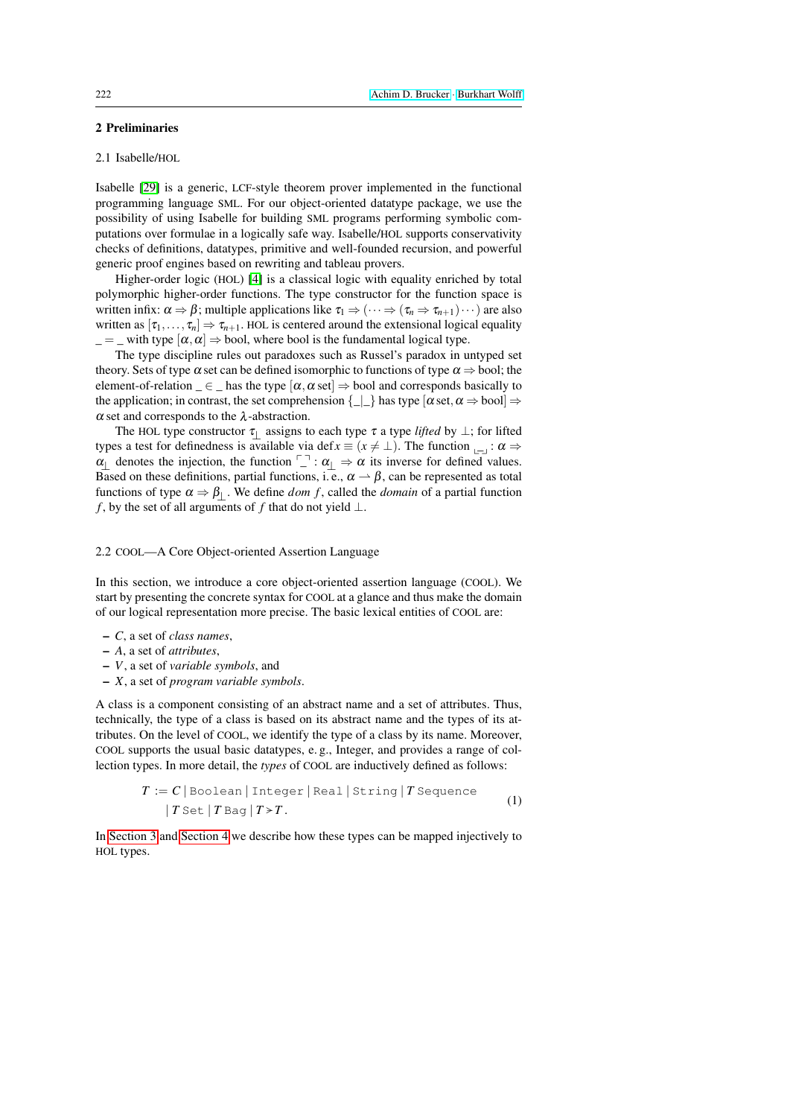# <span id="page-3-0"></span>2 Preliminaries

# 2.1 [Isa](#page-29-4)belle/HOL

Isabelle [29] is a generic, LCF-style theorem prover implemented in the functional programming language SML. For our object-oriented datatype package, we use the possibility of using Isabelle for building SML programs performing symbolic computations over formulae in a logically safe way. Isabelle/HOL supports conservativity checks of definitions, da[tat](#page-28-1)ypes, primitive and well-founded recursion, and powerful generic proof engines based on rewriting and tableau provers.

Higher-order logic (HOL) [4] is a classical logic with equality enriched by total polymorphic higher-order functions. The type constructor for the function space is written infix:  $\alpha \Rightarrow \beta$ ; multiple applications like  $\tau_1 \Rightarrow (\cdots \Rightarrow (\tau_n \Rightarrow \tau_{n+1}) \cdots)$  are also written as  $[\tau_1,\ldots,\tau_n] \Rightarrow \tau_{n+1}$ . HOL is centered around the extensional logical equality  $=$  = with type  $[\alpha, \alpha] \Rightarrow$  bool, where bool is the fundamental logical type.

The type discipline rules out paradoxes such as Russel's paradox in untyped set theory. Sets of type  $\alpha$  set can be defined isomorphic to functions of type  $\alpha \Rightarrow$  bool; the element-of-relation  $\subseteq \subseteq$  has the type  $[\alpha, \alpha \text{ set}] \Rightarrow$  bool and corresponds basically to the application; in contrast, the set comprehension  $\{\_ \ \}$  has type  $[\alpha \text{ set}, \alpha \Rightarrow \text{bool}] \Rightarrow$  $\alpha$  set and corresponds to the  $\lambda$ -abstraction.

The HOL type constructor  $\tau_1$  assigns to each type  $\tau$  a type *lifted* by  $\bot$ ; for lifted types a test for definedness is available via def $x \equiv (x \neq \bot)$ . The function  $\square$ :  $\alpha \Rightarrow$  $\alpha_{\parallel}$  denotes the injection, the function  $\ulcorner$  :  $\alpha_{\parallel} \Rightarrow \alpha$  its inverse for defined values. Based on these definitions, partial functions, i.e.,  $\alpha \rightarrow \beta$ , can be represented as total functions of type  $\alpha \Rightarrow \beta_1$ . We define *dom f*, called the *domain* of a partial function *f*, by the set of all arguments of *f* that do not yield ⊥.

# 2.2 COOL—A Core Object-oriented Assertion Language

In this section, we introduce a core object-oriented assertion language (COOL). We start by presenting the concrete syntax for COOL at a glance and thus make the domain of our logical representation more precise. The basic lexical entities of COOL are:

- *C*, a set of *class names*,
- *A*, a set of *attributes*,
- *V*, a set of *variable symbols*, and
- *X*, a set of *program variable symbols*.

A class is a component consisting of an abstract name and a set of attributes. Thus, technically, the type of a class is based on its abstract name and the types of its attributes. On the level of COOL, we identify the type of a class by its name. Moreover, COOL supports the usual basic datatypes, e. g., Integer, and provides a range of collection types. In more detail, the *types* of COOL are inductively defined as follows:

$$
T := C | \text{Boolean} | \text{Integer} | \text{Real} | \text{String} | T \text{Sequence}
$$
  
 | T set | T Bag | T > T. (1)

In Section 3 and Section 4 we describe how these types can be mapped injectively to HOL types.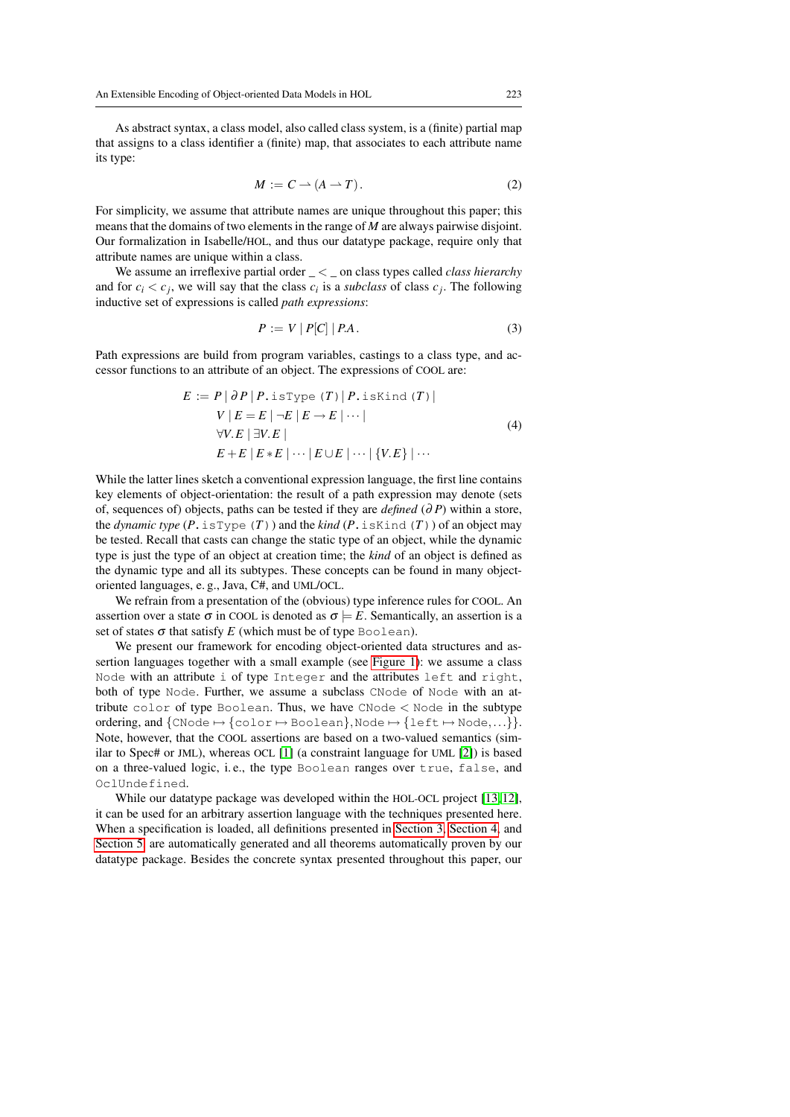As abstract syntax, a class model, also called class system, is a (finite) partial map that assigns to a class identifier a (finite) map, that associates to each attribute name its type:

$$
M := C \longrightarrow (A \longrightarrow T). \tag{2}
$$

For simplicity, we assume that attribute names are unique throughout this paper; this means that the domains of two elements in the range of *M* are always pairwise disjoint. Our formalization in Isabelle/HOL, and thus our datatype package, require only that attribute names are unique within a class.

We assume an irreflexive partial order  $\leq$  on class types called *class hierarchy* and for  $c_i < c_j$ , we will say that the class  $c_i$  is a *subclass* of class  $c_j$ . The following inductive set of expressions is called *path expressions*:

$$
P := V | P[C] | P.A.
$$
\n<sup>(3)</sup>

Path expressions are build from program variables, castings to a class type, and accessor functions to an attribute of an object. The expressions of COOL are:

$$
E := P | \partial P | P \text{.isType (T)} | P \text{.isKind (T)} |
$$
  
\n
$$
V | E = E | \neg E | E \rightarrow E | \dots |
$$
  
\n
$$
\forall V.E | \exists V.E |
$$
  
\n
$$
E + E | E * E | \dots | E \cup E | \dots | \{V.E\} | \dots
$$
\n(4)

While the latter lines sketch a conventional expression language, the first line contains key elements of object-orientation: the result of a path expression may denote (sets of, sequences of) objects, paths can be tested if they are *defined* (∂ *P*) within a store, the *dynamic type*  $(P \text{.isType }(T))$  and the *kind*  $(P \text{.isKind}(T))$  of an object may be tested. Recall that casts can change the static type of an object, while the dynamic type is just the type of an object at creation time; the *kind* of an object is defined as the dynamic type and all its subtypes. These concepts can be found in many objectoriented languages, e. g., Java, C#, and UML/OCL.

We refrain from a presentation of the (obvious) type inference rules for COOL. An assertion over a state  $\sigma$  in COOL is denoted as  $\sigma \models E$ . Semantically, an assertion is a set of states  $\sigma$  that satisfy  $E$  (which must be of type [Bool](#page-5-1)ean).

We present our framework for encoding object-oriented data structures and assertion languages together with a small example (see Figure 1): we assume a class Node with an attribute i of type Integer and the attributes left and right, both of type Node. Further, we assume a subclass CNode of Node with an attribute color of type Boolean. Thus, we have CNode  $\lt$  Node in the subtype ordering, and  $\{CNode \mapsto \{color \mapsto Boolean\},Node \mapsto \{left \mapsto Node,...\} \}.$  $\{CNode \mapsto \{color \mapsto Boolean\},Node \mapsto \{left \mapsto Node,...\} \}.$  $\{CNode \mapsto \{color \mapsto Boolean\},Node \mapsto \{left \mapsto Node,...\} \}.$  $\{CNode \mapsto \{color \mapsto Boolean\},Node \mapsto \{left \mapsto Node,...\} \}.$  $\{CNode \mapsto \{color \mapsto Boolean\},Node \mapsto \{left \mapsto Node,...\} \}.$ Note, however, that the COOL assertions are based on a two-valued semantics (similar to Spec# or JML), whereas OCL [1] (a constraint language for UML [2]) is based on a three-valued logic, i. e., the type Boolean ranges over true, [fa](#page-29-5)[ls](#page-29-6)e, and OclUndefined.

While our datatype package was developed withi[n the](#page-5-0) HOL-OCL [projec](#page-13-0)t [13, 12], [it ca](#page-14-0)n be used for an arbitrary assertion language with the techniques presented here. When a specification is loaded, all definitions presented in Section 3, Section 4, and Section 5, are automatically generated and all theorems automatically proven by our datatype package. Besides the concrete syntax presented throughout this paper, our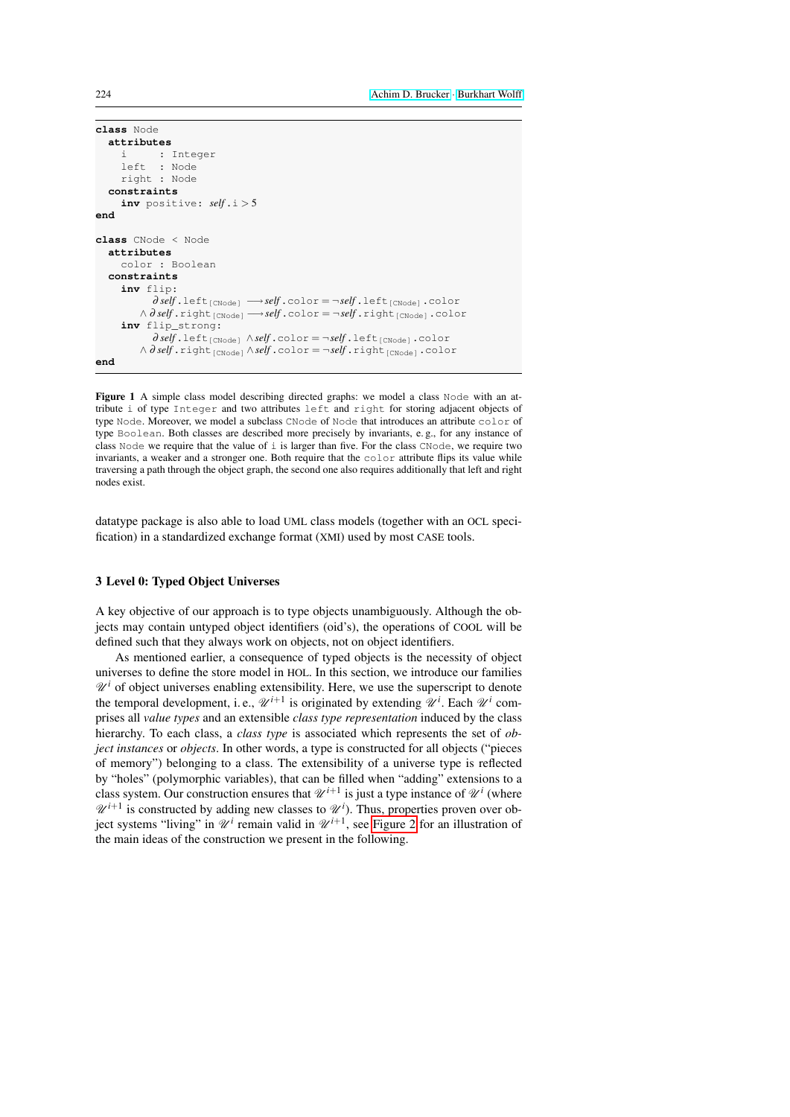```
class Node
  attributes
     i : Integer
     left : Node
     right : Node
  constraints
     inv positive: self.i > 5
end
class CNode < Node
  attributes
     color : Boolean
  constraints
     inv flip:
           \partialself.left<sub>[CNode]</sub> \longrightarrowself.color = \negself.left<sub>[CNode]</sub>.color
         ∧ ∂ self.right[CNode] −→self.color = ¬self.right[CNode].color
     inv flip_strong:
           ∂ self.left[CNode] ∧self.color = ¬self.left[CNode].color
         ∧ \partialself.right<sub>[CNode]</sub> ∧ self.color = ¬self.right<sub>[CNode]</sub>.color
end
```
<span id="page-5-1"></span>Figure 1 A simple class model describing directed graphs: we model a class Node with an attribute i of type Integer and two attributes left and right for storing adjacent objects of type Node. Moreover, we model a subclass CNode of Node that introduces an attribute color of type Boolean. Both classes are described more precisely by invariants, e. g., for any instance of class Node we require that the value of i is larger than five. For the class CNode, we require two invariants, a weaker and a stronger one. Both require that the color attribute flips its value while traversing a path through the object graph, the second one also requires additionally that left and right nodes exist.

<span id="page-5-0"></span>datatype package is also able to load UML class models (together with an OCL specification) in a standardized exchange format (XMI) used by most CASE tools.

# 3 Level 0: Typed Object Universes

A key objective of our approach is to type objects unambiguously. Although the objects may contain untyped object identifiers (oid's), the operations of COOL will be defined such that they always work on objects, not on object identifiers.

As mentioned earlier, a consequence of typed objects is the necessity of object universes to define the store model in HOL. In this section, we introduce our families  $\mathcal{U}^i$  of object universes enabling extensibility. Here, we use the superscript to denote the temporal development, i. e.,  $\mathcal{U}^{i+1}$  is originated by extending  $\mathcal{U}^i$ . Each  $\mathcal{U}^i$  comprises all *value types* and an extensible *class type representation* induced by the class hierarchy. To each class, a *class type* is associated which represents the set of *object instances* or *objects*. In other words, a type is constructed for all objects ("pieces") of memory") belonging to a class. The extensibility of a universe type is reflected by "holes" (polymorphic variables), that can be filled when "adding" extensions to a class system. Our construction ensures that  $\mathcal{U}^{i+1}$  [is just a t](#page-6-0)ype instance of  $\mathcal{U}^{i}$  (where  $\mathcal{U}^{i+1}$  is constructed by adding new classes to  $\mathcal{U}^{i}$ ). Thus, properties proven over object systems "living" in  $\mathcal{U}^i$  remain valid in  $\mathcal{U}^{i+1}$ , see Figure 2 for an illustration of the main ideas of the construction we present in the following.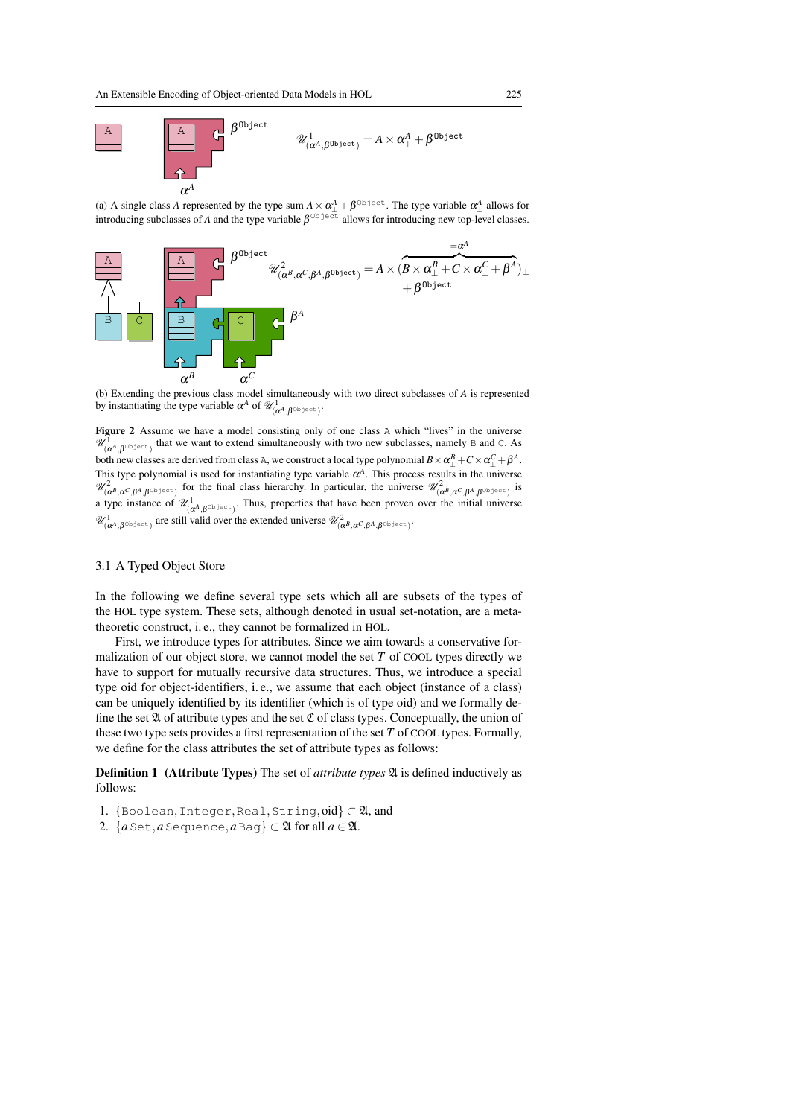

(a) A single class A represented by the type sum  $A \times \alpha_\perp^A + \beta^{\text{Object}}$ . The type variable  $\alpha_\perp^A$  allows for introducing subclasses of *A* and the type variable  $\beta^{\text{Object}}$  allows for introducing new top-level classes.



(b) Extending the previous class model simultaneously with two direct subclasses of *A* is represented by instantiating the type variable  $\alpha^A$  of  $\mathcal{U}^1_{(\alpha^A, \beta^{\text{Object}})}.$ 

<span id="page-6-0"></span>Figure 2 Assume we have a model consisting only of one class A which "lives" in the universe  $\mathcal{U}_{(\alpha^A,\beta^{\text{Object}})}^1$  that we want to extend simultaneously with two new subclasses, namely B and C. As both new classes are derived from class A, we construct a local type polynomial  $B \times \alpha_\perp^B + C \times \alpha_\perp^C + \beta^A$ . This type polynomial is used for instantiating type variable  $\alpha^A$ . This process results in the universe  $\mathcal{U}_{(\alpha^B,\alpha^C,\beta^A,\beta^{\text{Object}})}^2$  for the final class hierarchy. In particular, the universe  $\mathcal{U}_{(\alpha^B,\alpha^C,\beta^A,\beta^{\text{Object}})}^2$  is a type instance of  $\mathcal{U}^1_{(\alpha^A,\beta^{\text{Object}})}$ . Thus, properties that have been proven over the initial universe  $\mathcal{U}^1_{(\alpha^A, \beta^{\text{Object}})}$  are still valid over the extended universe  $\mathcal{U}^2_{(\alpha^B, \alpha^C, \beta^A, \beta^{\text{Object}})}$ .

#### 3.1 A Typed Object Store

In the following we define several type sets which all are subsets of the types of the HOL type system. These sets, although denoted in usual set-notation, are a metatheoretic construct, i. e., they cannot be formalized in HOL.

First, we introduce types for attributes. Since we aim towards a conservative formalization of our object store, we cannot model the set *T* of COOL types directly we have to support for mutually recursive data structures. Thus, we introduce a special type oid for object-identifiers, i. e., we assume that each object (instance of a class) can be uniquely identified by its identifier (which is of type oid) and we formally define the set  $\mathfrak A$  of attribute types and the set  $\mathfrak C$  of class types. Conceptually, the union of these two type sets provides a first representation of the set *T* of COOL types. Formally, we define for the class attributes the set of attribute types as follows:

**Definition 1** (Attribute Types) The set of *attribute types* 24 is defined inductively as follows:

- 1. {Boolean, Integer, Real, String, oid} ⊂ 2, and
- 2.  ${a \text{Set}, a \text{Sequence}, a \text{Bag}} \subset \mathfrak{A}$  for all  $a \in \mathfrak{A}$ .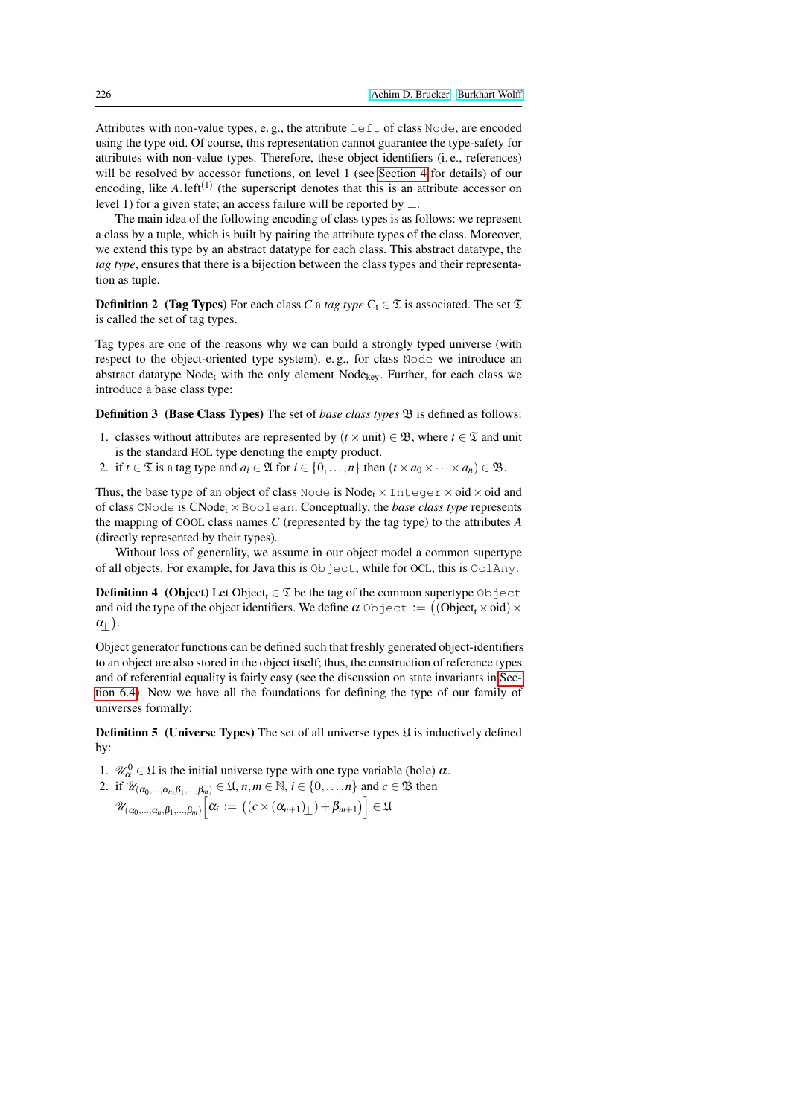Attributes with non-value types, e. g., the attribute left of class Node, are encoded using the type oid. Of course, this representation c[annot guar](#page-13-0)antee the type-safety for attributes with non-value types. Therefore, these object identifiers (i. e., references) will be resolved by accessor functions, on level 1 (see Section 4 for details) of our encoding, like  $A$ . left<sup>(1)</sup> (the superscript denotes that this is an attribute accessor on level 1) for a given state; an access failure will be reported by  $\bot$ .

The main idea of the following encoding of class types is as follows: we represent a class by a tuple, which is built by pairing the attribute types of the class. Moreover, we extend this type by an abstract datatype for each class. This abstract datatype, the *tag type*, ensures that there is a bijection between the class types and their representation as tuple.

**Definition 2** (Tag Types) For each class *C* a *tag type*  $C_t \in \mathcal{I}$  is associated. The set  $\mathcal{I}$ is called the set of tag types.

Tag types are one of the reasons why we can build a strongly typed universe (with respect to the object-oriented type system), e. g., for class Node we introduce an abstract datatype  $Node_t$  with the only element  $Node_{key}$ . Further, for each class we introduce a base class type:

**Definition 3** (Base Class Types) The set of *base class types*  $\mathcal{B}$  is defined as follows:

- 1. classes without attributes are represented by  $(t \times \text{unit}) \in \mathfrak{B}$ , where  $t \in \mathfrak{T}$  and unit is the standard HOL type denoting the empty product.
- 2. if  $t \in \mathfrak{T}$  is a tag type and  $a_i \in \mathfrak{A}$  for  $i \in \{0, ..., n\}$  then  $(t \times a_0 \times \cdots \times a_n) \in \mathfrak{B}$ .

Thus, the base type of an object of class Node is  $Node_t \times Integer \times oid \times oid$  and of class CNode is  $CNode_t \times Boolean$ . Conceptually, the *base class type* represents the mapping of COOL class names *C* (represented by the tag type) to the attributes *A* (directly represented by their types).

Without loss of generality, we assume in our object model a common supertype of all objects. For example, for Java this is Object, while for OCL, this is OclAny.

**Definition 4** (Object) Let Object<sub>t</sub>  $\in \mathcal{I}$  be the tag of the common supertype Object and oid the type of the object identifiers. We define  $\alpha$  Object :=  $((Object<sub>t</sub> \times oid) \times$  $\alpha_{\!\bot}$  ).

Object generator functions can be defined such that freshly generated object[-iden](#page-20-0)tifiers [to](#page-20-0) an object are also stored in the object itself; thus, the construction of reference types and of referential equality is fairly easy (see the discussion on state invariants in Section 6.4). Now we have all the foundations for defining the type of our family of universes formally:

**Definition 5** (Universe Types) The set of all universe types  $\mathfrak{U}$  is inductively defined by:

- 1.  $\mathcal{U}_{\alpha}^0 \in \mathfrak{U}$  is the initial universe type with one type variable (hole)  $\alpha$ .
- 2. if  $\mathcal{U}_{(\alpha_0,\ldots,\alpha_n,\beta_1,\ldots,\beta_m)} \in \mathfrak{U}, n, m \in \mathbb{N}, i \in \{0,\ldots,n\}$  and  $c \in \mathfrak{B}$  then

$$
\mathscr{U}_{(\alpha_0,\ldots,\alpha_n,\beta_1,\ldots,\beta_m)}\Big[\alpha_i\, :=\, \big((c\times(\alpha_{n+1})_\perp)+\beta_{m+1}\big)\Big]\in\mathfrak{U}
$$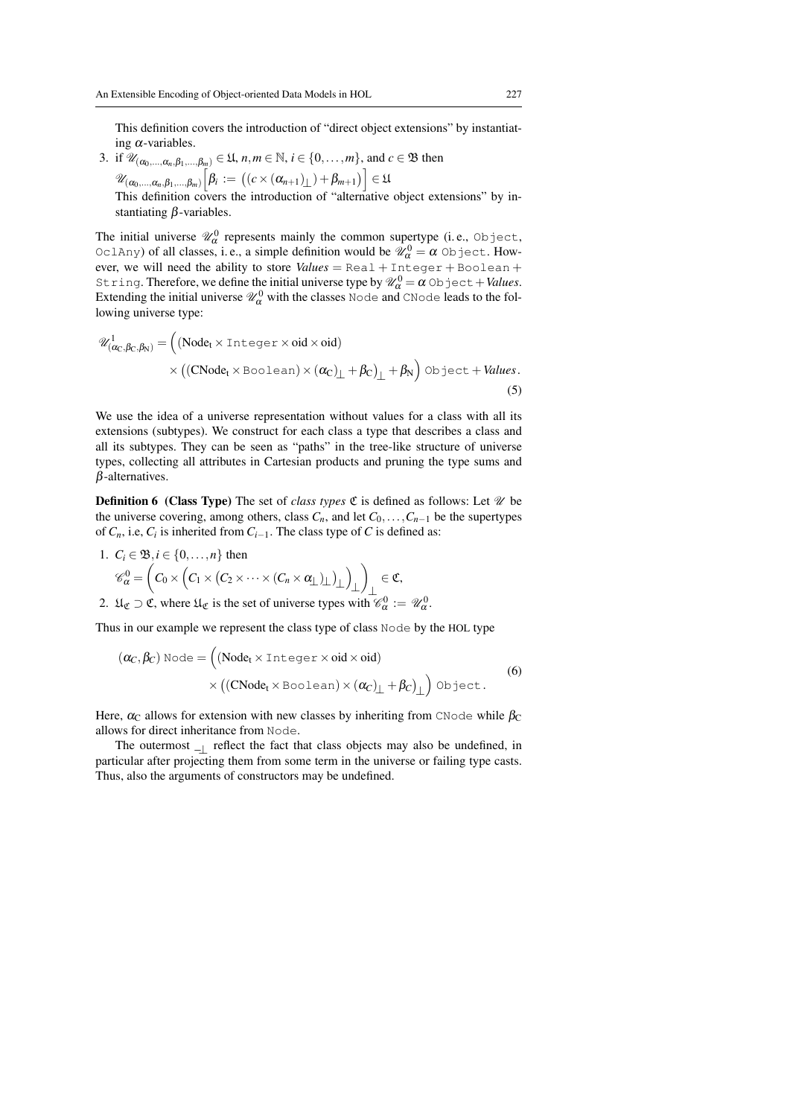This definition covers the introduction of "direct object extensions" by instantiating  $\alpha$ -variables.

3. if  $\mathcal{U}_{(\alpha_0,\ldots,\alpha_n,\beta_1,\ldots,\beta_m)} \in \mathfrak{U}, n,m \in \mathbb{N}, i \in \{0,\ldots,m\}, \text{and } c \in \mathfrak{B} \text{ then}$  $\mathscr{U}_{(\alpha_0,...,\alpha_n,\beta_1,...,\beta_m)} \Big[ \beta_i \, := \, \big( (c \times (\alpha_{n+1})_\bot) + \beta_{m+1} \big) \Big] \in \mathfrak{U}$ This definition covers the introduction of "alternative object extensions" by instantiating  $\beta$ -variables.

The initial universe  $\mathcal{U}_{\alpha}^{0}$  represents mainly the common supertype (i.e., Object, OclAny) of all classes, i.e., a simple definition would be  $\mathscr{U}^0_\alpha = \alpha$  Object. However, we will need the ability to store *Values* = Real + Integer + Boolean + String. Therefore, we define the initial universe type by  $\mathcal{U}_{\alpha}^0 = \alpha$  Object + *Values*. Extending the initial universe  $\mathcal{U}_{\alpha}^{0}$  with the classes Node and CNode leads to the following universe type:

$$
\mathscr{U}^1_{(\alpha_C, \beta_C, \beta_N)} = \left( (\text{Node}_t \times \text{Integer} \times \text{oid} \times \text{oid}) \times (\alpha_C)_{\perp} + \beta_C \right)_{\perp} + \beta_N \right) \text{Object} + Values. \tag{5}
$$

We use the idea of a universe representation without values for a class with all its extensions (subtypes). We construct for each class a type that describes a class and all its subtypes. They can be seen as "paths" in the tree-like structure of universe types, collecting all attributes in Cartesian products and pruning the type sums and  $\beta$ -alternatives.

**Definition 6** (Class Type) The set of *class types*  $\mathfrak{C}$  is defined as follows: Let  $\mathcal{U}$  be the universe covering, among others, class  $C_n$ , and let  $C_0, \ldots, C_{n-1}$  be the supertypes of  $C_n$ , i.e,  $C_i$  is inherited from  $C_{i-1}$ . The class type of  $C$  is defined as:

- 1.  $C_i \in \mathfrak{B}, i \in \{0, ..., n\}$  then  $\mathscr{C}^0_\alpha = \left( C_0 \times \left( C_1 \times \left( C_2 \times \cdots \times \left( C_n \times \alpha_\perp \right)_{\perp} \right)_{\perp} \right)_{\perp} \right)$  $\setminus$ ⊥  $\setminus$ ⊥ ∈ C,
- 2.  $\mathfrak{U}_{\mathfrak{C}} \supset \mathfrak{C}$ , where  $\mathfrak{U}_{\mathfrak{C}}$  is the set of universe types with  $\mathscr{C}_{\alpha}^0 := \mathscr{U}_{\alpha}^0$ .

Thus in our example we represent the class type of class Node by the HOL type

$$
(\alpha_C, \beta_C) \text{Node} = \left( (\text{Node}_t \times \text{Integer} \times \text{oid} \times \text{oid}) \times ((\text{CNode}_t \times \text{Boolean}) \times (\alpha_C)_{\perp} + \beta_C)_{\perp} \right) \text{Object.}
$$
\n(6)

Here,  $\alpha_C$  allows for extension with new classes by inheriting from CNode while  $\beta_C$ allows for direct inheritance from Node.

The outermost  $\Box$  reflect the fact that class objects may also be undefined, in particular after projecting them from some term in the universe or failing type casts. Thus, also the arguments of constructors may be undefined.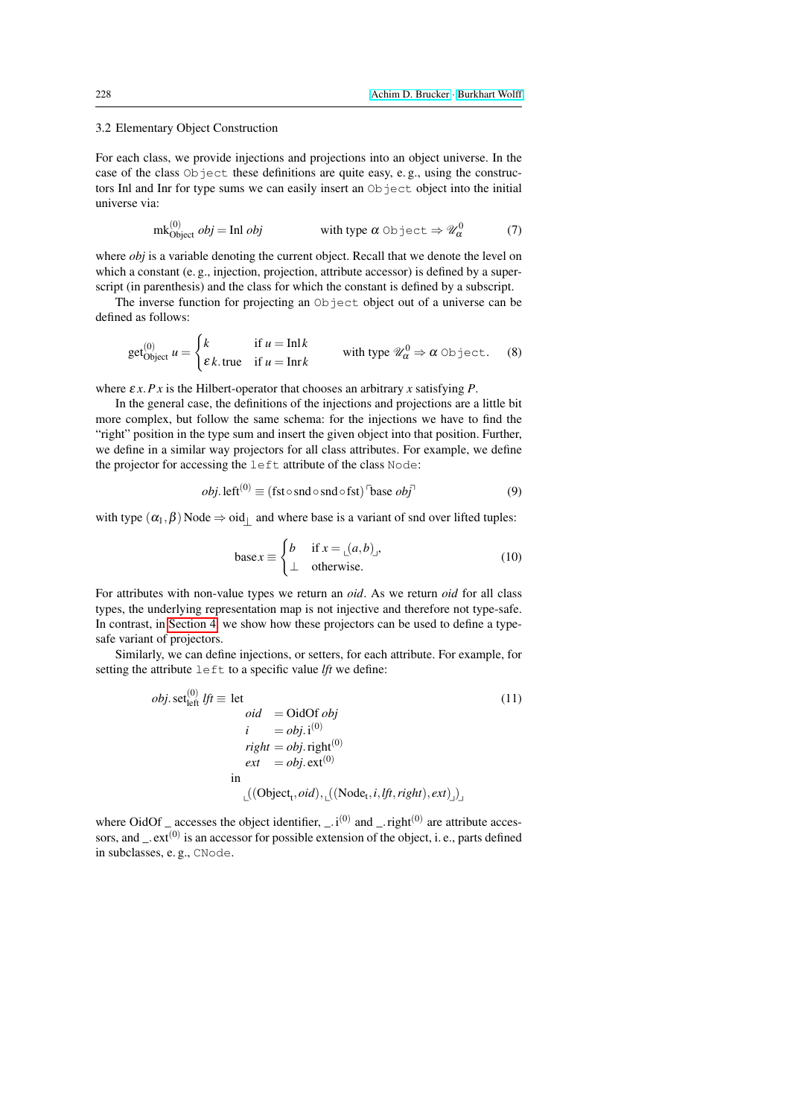# 3.2 Elementary Object Construction

For each class, we provide injections and projections into an object universe. In the case of the class Object these definitions are quite easy, e. g., using the constructors Inl and Inr for type sums we can easily insert an Object object into the initial universe via:

$$
mk_{Object}^{(0)} \text{ obj} = \text{Inl } obj \qquad \text{with type } \alpha \text{ Object} \Rightarrow \mathcal{U}_{\alpha}^{0} \tag{7}
$$

where *obj* is a variable denoting the current object. Recall that we denote the level on which a constant (e.g., injection, projection, attribute accessor) is defined by a superscript (in parenthesis) and the class for which the constant is defined by a subscript.

The inverse function for projecting an Object object out of a universe can be defined as follows:

$$
\text{get}_{\text{Object}}^{(0)} u = \begin{cases} k & \text{if } u = \text{Inl}k \\ \varepsilon k. \text{true} & \text{if } u = \text{Inr}k \end{cases} \qquad \text{with type } \mathscr{U}_{\alpha}^{0} \Rightarrow \alpha \text{ Object.} \tag{8}
$$

where  $\epsilon x$ .  $Px$  is the Hilbert-operator that chooses an arbitrary *x* satisfying *P*.

In the general case, the definitions of the injections and projections are a little bit more complex, but follow the same schema: for the injections we have to find the "right" position in the type sum and insert the given object into that position. Further, we define in a similar way projectors for all class attributes. For example, we define the projector for accessing the left attribute of the class Node:

$$
obj. \, left^{(0)} \equiv (fst \circ \text{snd} \circ \text{snd} \circ \text{fst}) \, \text{ 'base } \, obj^{\text{T}}
$$
\n
$$
(9)
$$

with type  $(\alpha_1, \beta)$  Node  $\Rightarrow$  oid<sub>⊥</sub> and where base is a variant of snd over lifted tuples:

base
$$
x \equiv \begin{cases} b & \text{if } x = (a, b) \text{,} \\ \perp & \text{otherwise.} \end{cases}
$$
 (10)

For attri[butes with](#page-13-0) non-value types we return an *oid*. As we return *oid* for all class types, the underlying representation map is not injective and therefore not type-safe. In contrast, in Section 4, we show how these projectors can be used to define a typesafe variant of projectors.

Similarly, we can define injections, or setters, for each attribute. For example, for setting the attribute left to a specific value *lft* we define:

*obj*.set(0) left *lft* ≡ let *oid* = OidOf *obj i* = *obj*.i (0) *right* = *obj*.right(0) *ext* = *obj*. ext(0) in x ((Object<sup>t</sup> ,*oid*),x ((Node<sup>t</sup> ,*i*,*lft*,*right*), *ext*)y )y (11)

where OidOf  $\_\text{accesses}$  the object identifier,  $\_\text{i}^{(0)}$  and  $\_\text{r}$  right<sup>(0)</sup> are attribute accessors, and  $\pm$  ext<sup>(0)</sup> is an accessor for possible extension of the object, i. e., parts defined in subclasses, e. g., CNode.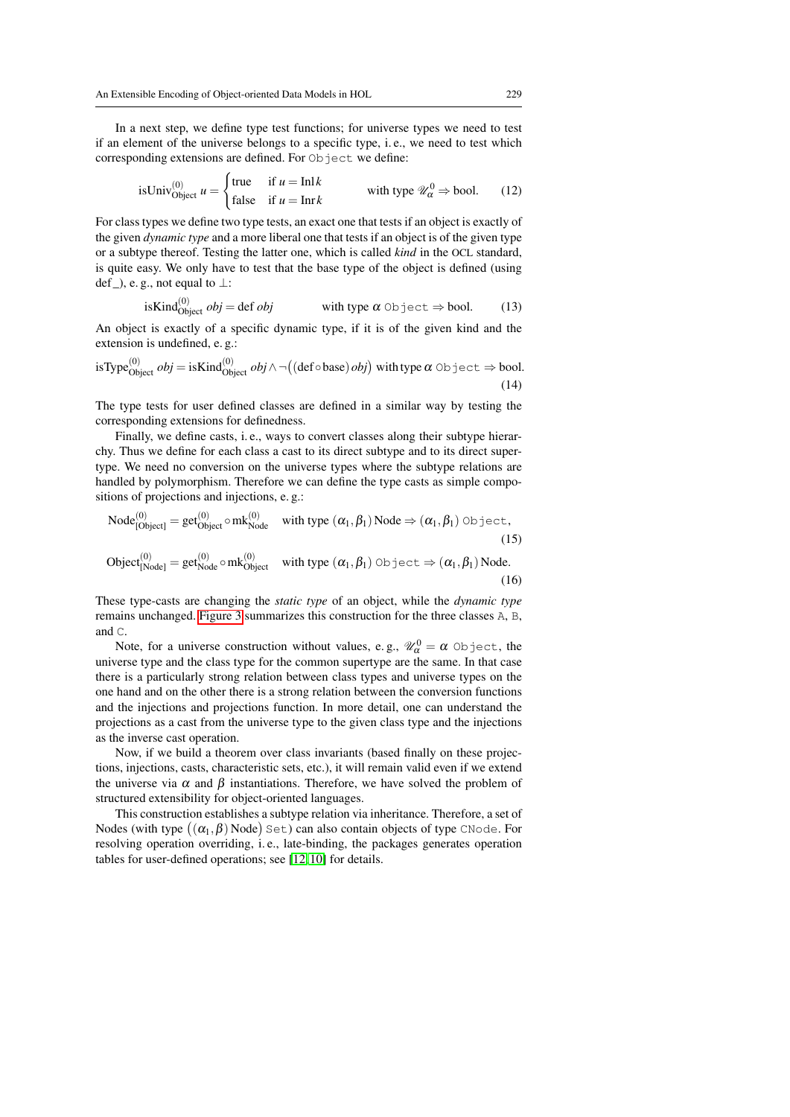In a next step, we define type test functions; for universe types we need to test if an element of the universe belongs to a specific type, i. e., we need to test which corresponding extensions are defined. For Object we define:

isUniv<sub>Object</sub><sup>(0)</sup> 
$$
u = \begin{cases} \text{true} & \text{if } u = \text{Inl } k \\ \text{false} & \text{if } u = \text{Inr } k \end{cases}
$$
 with type  $\mathcal{U}_{\alpha}^{0} \Rightarrow \text{bool.}$  (12)

For class types we define two type tests, an exact one that tests if an object is exactly of the given *dynamic type* and a more liberal one that tests if an object is of the given type or a subtype thereof. Testing the latter one, which is called *kind* in the OCL standard, is quite easy. We only have to test that the base type of the object is defined (using def \_), e.g., not equal to  $\perp$ :

isKind<sup>(0)</sup>  
object *obj* = def *obj* with type 
$$
\alpha
$$
 Object  $\Rightarrow$  bool. (13)

An object is exactly of a specific dynamic type, if it is of the given kind and the extension is undefined, e. g.:

isType<sub>Object</sub><sup>(0)</sup> 
$$
obj = \text{isKind}_{Object}^{(0)} obj \land \neg((\text{def} \circ \text{base}) obj)
$$
 with type  $\alpha$   $Obj \circ \text{et} \Rightarrow \text{bool}$ . (14)

The type tests for user defined classes are defined in a similar way by testing the corresponding extensions for definedness.

Finally, we define casts, i. e., ways to convert classes along their subtype hierarchy. Thus we define for each class a cast to its direct subtype and to its direct supertype. We need no conversion on the universe types where the subtype relations are handled by polymorphism. Therefore we can define the type casts as simple compositions of projections and injections, e. g.:

Node<sub>[Object]</sub><sup>(0)</sup> = get<sub>Object</sub><sup>(0)</sup> = 
$$
\text{get}_{Object}^{(0)} \circ \text{mk}_{Node}^{(0)}
$$
 with type  $(\alpha_1, \beta_1) \text{Node} \Rightarrow (\alpha_1, \beta_1) \text{Object}$ ,  
\nObject<sub>[Node]</sub><sup>(0)</sup> =  $\text{get}_{Node}^{(0)} \circ \text{mk}_{Object}^{(0)}$  with type  $(\alpha_1, \beta_1) \text{Object} \Rightarrow (\alpha_1, \beta_1) \text{Node}$ .

These type-ca[sts are ch](#page-11-0)anging the *static type* of an object, while the *dynamic type* remains unchanged. Figure 3 summarizes this construction for the three classes A, B, and C.

Note, for a universe construction without values, e.g.,  $\mathcal{U}_{\alpha}^{0} = \alpha$  Object, the universe type and the class type for the common supertype are the same. In that case there is a particularly strong relation between class types and universe types on the one hand and on the other there is a strong relation between the conversion functions and the injections and projections function. In more detail, one can understand the projections as a cast from the universe type to the given class type and the injections as the inverse cast operation.

Now, if we build a theorem over class invariants (based finally on these projections, injections, casts, characteristic sets, etc.), it will remain valid even if we extend the universe via  $\alpha$  and  $\beta$  instantiations. Therefore, we have solved the problem of structured extensibility for object-oriented languages.

This construction establishes a subtype relation via inheritance. Therefore, a set of Nodes (wi[t](#page-29-7)h type  $((\alpha_1,\beta)$  Node) [Se](#page-29-6)t) can also contain objects of type CN0de. For resolving operation overriding, i. e., late-binding, the packages generates operation tables for user-defined operations; see [12, 10] for details.

(16)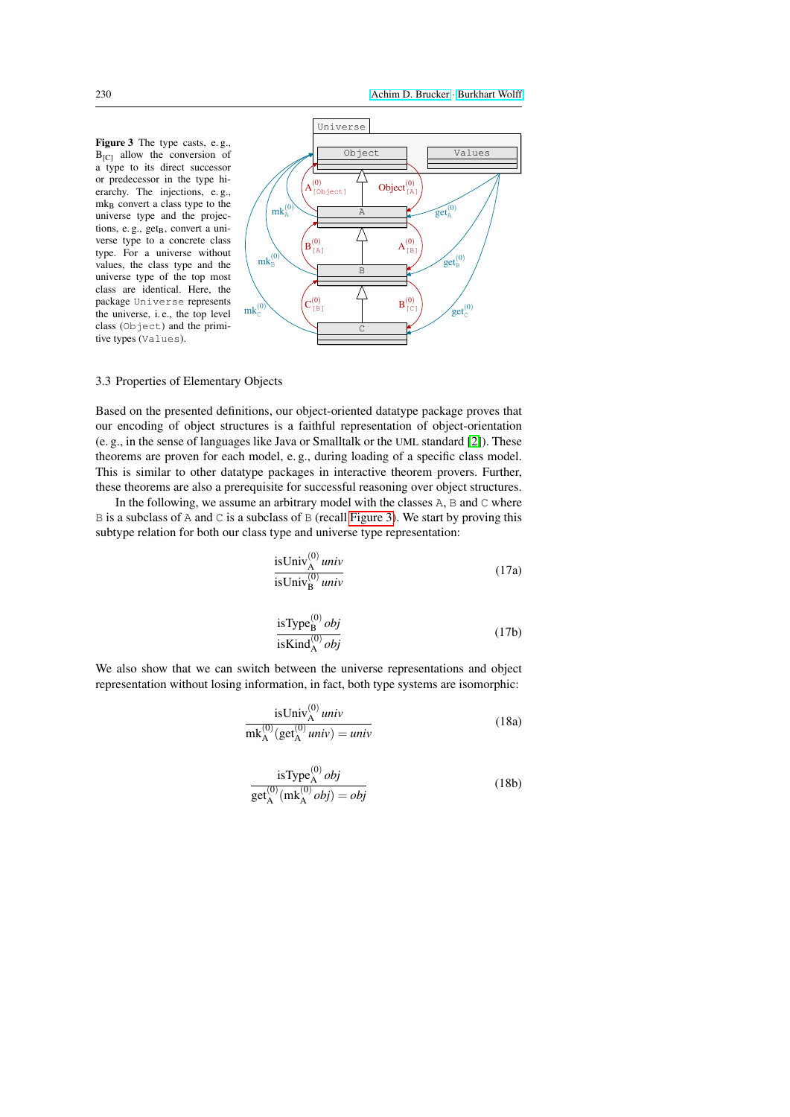<span id="page-11-0"></span>Figure 3 The type casts, e.g.,  $B_{[C]}$  allow the conversion of a type to its direct successor or predecessor in the type hierarchy. The injections, e. g., mk<sub>B</sub> convert a class type to the universe type and the projections, e.g., get<sub>B</sub>, convert a universe type to a concrete class type. For a universe without values, the class type and the universe type of the top most class are identical. Here, the package Universe represents the universe, i. e., the top level class (Object) and the primitive types (Values).



### 3.3 Properties of Elementary Objects

Based on the presented definitions, our object-oriented datatype pac[ka](#page-28-3)ge proves that our encoding of object structures is a faithful representation of object-orientation (e. g., in the sense of languages like Java or Smalltalk or the UML standard [2]). These theorems are proven for each model, e. g., during loading of a specific class model. This is similar to other datatype packages in interactive theorem provers. Further, these theorems are also a prerequisite for su[ccessful re](#page-11-0)asoning over object structures.

In the following, we assume an arbitrary model with the classes  $A$ ,  $B$  and  $C$  where B is a subclass of A and C is a subclass of B (recall Figure 3). We start by proving this subtype relation for both our class type and universe type representation:

is
$$
\frac{\text{isUniv}_{\text{A}}^{(0)}}{\text{isUniv}_{\text{B}}^{(0)}\text{univ}}\tag{17a}
$$

$$
\frac{\text{isType}_{\text{B}}^{(0)}\text{obj}}{\text{isKind}_{\text{A}}^{(0)}\text{obj}}
$$
\n
$$
(17b)
$$

We also show that we can switch between the universe representations and object representation without losing information, in fact, both type systems are isomorphic:

isUniv<sub>A</sub><sup>(0)</sup> *univ*  

$$
\overline{mk_A^{(0)}(get_A^{(0)}univ)} = \overline{univ}
$$
(18a)

$$
\frac{\text{isType}_{\text{A}}^{(0)}\text{obj}}{\text{get}_{\text{A}}^{(0)}(\text{mk}_{\text{A}}^{(0)}\text{obj}) = obj} \tag{18b}
$$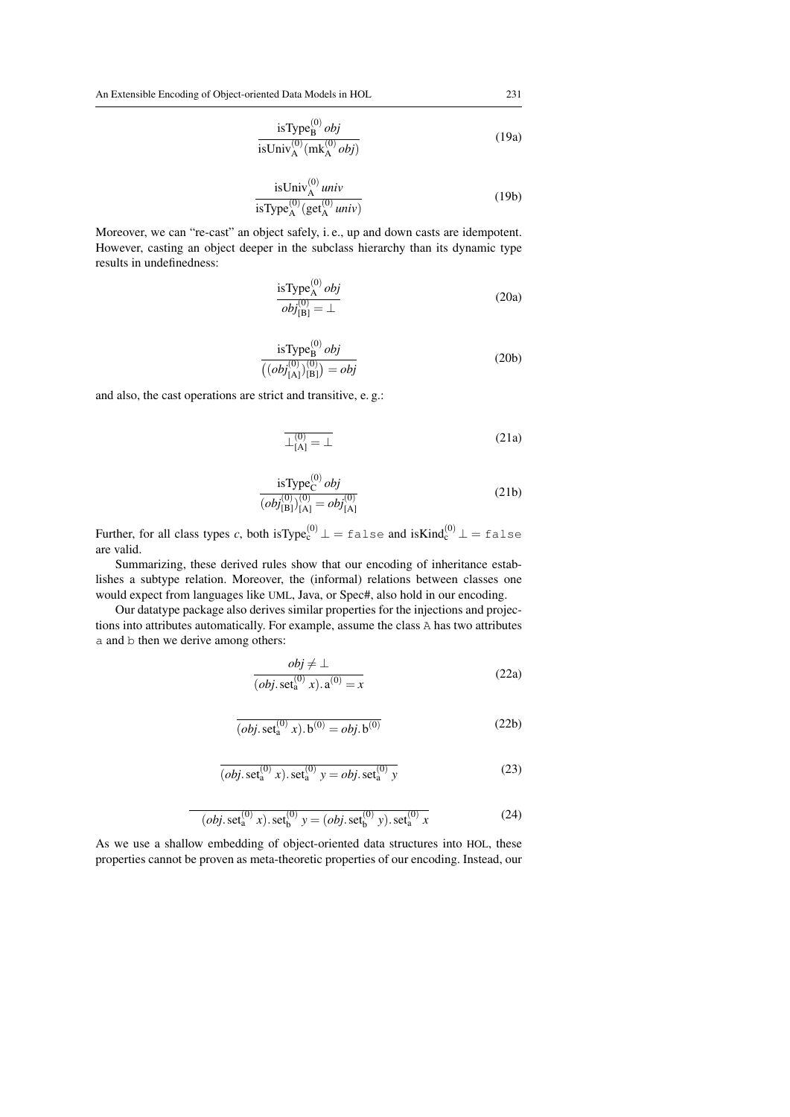isType(0) B *obj* isUniv(0) A (mk(0) A *obj*) (19a)

is
$$
\frac{\text{is $\text{Univ}_{\text{A}}^{(0)} \text{univ}}{\text{is $\text{Type}_{\text{A}}^{(0)} (\text{get}_{\text{A}}^{(0)} \text{univ})}$  (19b)$
$$

Moreover, we can "re-cast" an object safely, i. e., up and down casts are idempotent. However, casting an object deeper in the subclass hierarchy than its dynamic type results in undefinedness:

$$
\frac{\text{isType}_{\text{A}}^{(0)} \text{obj}}{\text{obj}_{\text{[B]}}^{(0)} = \bot} \tag{20a}
$$

isType<sub>B</sub><sup>(0)</sup> *obj*  
\n
$$
\overline{((obj_{[A]}^{(0)})_{[B]}^{(0)})} = obj
$$
\n(20b)

and also, the cast operations are strict and transitive, e. g.:

$$
\frac{1}{\perp_{\text{[A]}}(21a)} \tag{21a}
$$

isType<sub>C</sub><sup>(0)</sup> *obj*  
\n(
$$
obj_{[B]}^{(0)}\rangle_{[A]}^{(0)} = obj_{[A]}^{(0)}
$$
 (21b)

Further, for all class types *c*, both isType $_c^{(0)}\bot =$  false and is $\text{Kind}_c^{(0)}\bot =$  false are valid.

Summarizing, these derived rules show that our encoding of inheritance establishes a subtype relation. Moreover, the (informal) relations between classes one would expect from languages like UML, Java, or Spec#, also hold in our encoding.

Our datatype package also derives similar properties for the injections and projections into attributes automatically. For example, assume the class A has two attributes a and b then we derive among others:

$$
\frac{obj \neq \bot}{(obj. set_a^{(0)} x). a^{(0)} = x}
$$
 (22a)

$$
\overline{(obj. set_a^{(0)} x). b^{(0)} = obj. b^{(0)}}
$$
 (22b)

$$
\overline{(obj. set_a^{(0)} x). set_a^{(0)} y = obj. set_a^{(0)} y}
$$
 (23)

$$
(obj. set_a^{(0)} x). set_b^{(0)} y = (obj. set_b^{(0)} y). set_a^{(0)} x
$$
 (24)

As we use a shallow embedding of object-oriented data structures into HOL, these properties cannot be proven as meta-theoretic properties of our encoding. Instead, our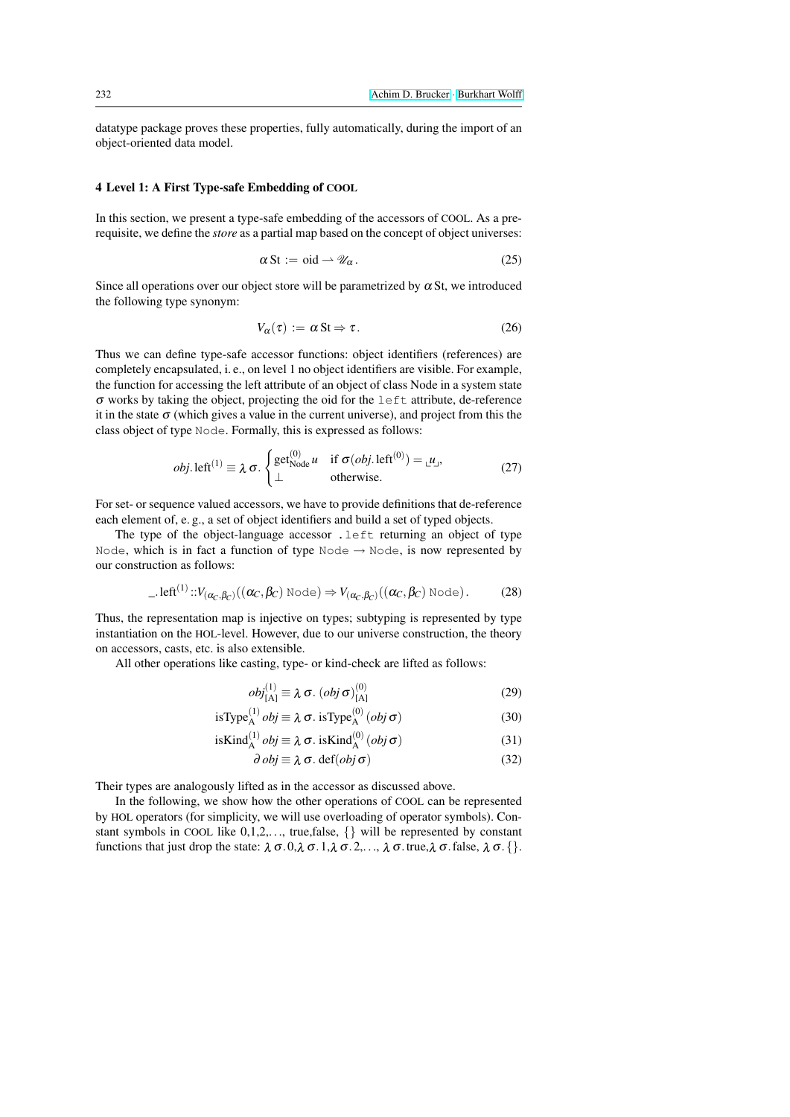<span id="page-13-0"></span>datatype package proves these properties, fully automatically, during the import of an object-oriented data model.

### 4 Level 1: A First Type-safe Embedding of COOL

In this section, we present a type-safe embedding of the accessors of COOL. As a prerequisite, we define the *store* as a partial map based on the concept of object universes:

$$
\alpha \operatorname{St} := \operatorname{oid} \rightharpoonup \mathscr{U}_{\alpha} \,. \tag{25}
$$

Since all operations over our object store will be parametrized by  $\alpha$  St, we introduced the following type synonym:

$$
V_{\alpha}(\tau) := \alpha \, \text{St} \Rightarrow \tau. \tag{26}
$$

Thus we can define type-safe accessor functions: object identifiers (references) are completely encapsulated, i. e., on level 1 no object identifiers are visible. For example, the function for accessing the left attribute of an object of class Node in a system state σ works by taking the object, projecting the oid for the left attribute, de-reference it in the state  $\sigma$  (which gives a value in the current universe), and project from this the class object of type Node. Formally, this is expressed as follows:

$$
obj. \text{left}^{(1)} \equiv \lambda \sigma. \begin{cases} \text{get}_{\text{Node}}^{(0)} u & \text{if } \sigma(obj. \text{left}^{(0)}) = \mu_{\perp}, \\ \perp & \text{otherwise.} \end{cases} \tag{27}
$$

For set- or sequence valued accessors, we have to provide definitions that de-reference each element of, e. g., a set of object identifiers and build a set of typed objects.

The type of the object-language accessor .left returning an object of type Node, which is in fact a function of type Node  $\rightarrow$  Node, is now represented by our construction as follows:

$$
\_left(\text{left}^{(1)}::V_{(\alpha_C,\beta_C)}((\alpha_C,\beta_C) \text{Node}) \Rightarrow V_{(\alpha_C,\beta_C)}((\alpha_C,\beta_C) \text{Node}).\right)
$$
 (28)

Thus, the representation map is injective on types; subtyping is represented by type instantiation on the HOL-level. However, due to our universe construction, the theory on accessors, casts, etc. is also extensible.

All other operations like casting, type- or kind-check are lifted as follows:

$$
obj_{[A]}^{(1)} \equiv \lambda \sigma. (obj \sigma)_{[A]}^{(0)}
$$
 (29)

isType<sub>A</sub><sup>(1)</sup> 
$$
obj \equiv \lambda \sigma
$$
. isType<sub>A</sub><sup>(0)</sup>  $(obj \sigma)$  (30)

is
$$
isKind_A^{(1)} obj \equiv \lambda \sigma. is $Kind_A^{(0)} (obj \sigma)$  (31)
$$

$$
\partial \text{ obj} \equiv \lambda \sigma. \text{ def}(\text{obj } \sigma) \tag{32}
$$

Their types are analogously lifted as in the accessor as discussed above.

In the following, we show how the other operations of COOL can be represented by HOL operators (for simplicity, we will use overloading of operator symbols). Constant symbols in COOL like  $0,1,2,...$ , true, false,  $\{\}$  will be represented by constant functions that just drop the state:  $\lambda \sigma.0$ , $\lambda \sigma.1$ , $\lambda \sigma.2$ ,...,  $\lambda \sigma.$  true, $\lambda \sigma.$  false,  $\lambda \sigma.$  {}.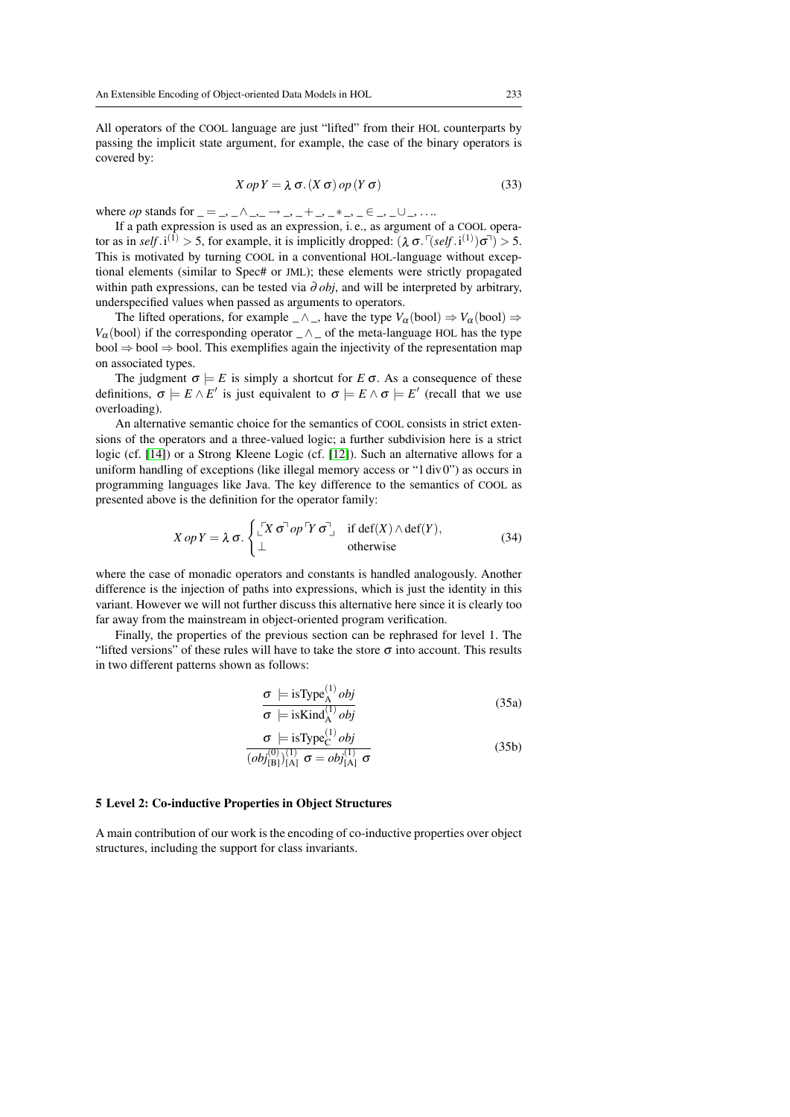All operators of the COOL language are just "lifted" from their HOL counterparts by passing the implicit state argument, for example, the case of the binary operators is covered by:

$$
X op Y = \lambda \sigma. (X \sigma) op (Y \sigma)
$$
\n(33)

where *op* stands for  $=$  \_, \_ $\wedge$  \_, \_ $\rightarrow$  \_, \_+ \_, \_\* \_,  $\in$  \_, \_∪\_, ...

If a path expression is used as an expression, i. e., as argument of a COOL operator as in  $self \cdot i^{(1)} > 5$ , for example, it is implicitly dropped:  $(\lambda \sigma \cdot \sqrt{[self \cdot i^{(1)})} \sigma^T) > 5$ . This is motivated by turning COOL in a conventional HOL-language without exceptional elements (similar to Spec# or JML); these elements were strictly propagated within path expressions, can be tested via ∂ *obj*, and will be interpreted by arbitrary, underspecified values when passed as arguments to operators.

The lifted operations, for example  $\_\wedge$ , have the type  $V_\alpha(\text{bool}) \Rightarrow V_\alpha(\text{bool}) \Rightarrow$ *V*<sub>α</sub>(bool) if the corresponding operator  $\_\wedge$  of the meta-language HOL has the type bool ⇒ bool ⇒ bool. This exemplifies again the injectivity of the representation map on associated types.

The judgment  $\sigma \models E$  is simply a shortcut for  $E \sigma$ . As a consequence of these definitions,  $\sigma \models E \land E'$  is just equivalent to  $\sigma \models E \land \sigma \models E'$  (recall that we use overloading).

[An a](#page-29-8)lternative semantic choice for th[e se](#page-29-6)mantics of COOL consists in strict extensions of the operators and a three-valued logic; a further subdivision here is a strict logic (cf. [14]) or a Strong Kleene Logic (cf. [12]). Such an alternative allows for a uniform handling of exceptions (like illegal memory access or "1 div 0") as occurs in programming languages like Java. The key difference to the semantics of COOL as presented above is the definition for the operator family:

$$
X \, op \, Y = \lambda \, \sigma. \begin{cases} \left[ X \, \sigma^{\top} op \, \Gamma Y \, \sigma \right] & \text{if } \det(X) \wedge \det(Y), \\ \perp & \text{otherwise} \end{cases} \tag{34}
$$

where the case of monadic operators and constants is handled analogously. Another difference is the injection of paths into expressions, which is just the identity in this variant. However we will not further discuss this alternative here since it is clearly too far away from the mainstream in object-oriented program verification.

Finally, the properties of the previous section can be rephrased for level 1. The "lifted versions" of these rules will have to take the store  $\sigma$  into account. This results in two different patterns shown as follows:

$$
\begin{aligned}\n\sigma &= \text{isType}_{\text{A}}^{(1)} \text{obj} \\
\sigma &= \text{isKind}_{\text{A}}^{(1)} \text{obj}\n\end{aligned} \tag{35a}
$$

$$
\begin{aligned}\n\sigma &= \text{isType}_{\text{C}}^{(1)} \text{obj} \\
\overline{\left(\text{obj}_{\text{[B]}}^{(0)}\right)_{\text{[A]}}^{(1)}} \sigma &= \text{obj}_{\text{[A]}}^{(1)} \sigma\n\end{aligned} \tag{35b}
$$

# <span id="page-14-0"></span>5 Level 2: Co-inductive Properties in Object Structures

A main contribution of our work is the encoding of co-inductive properties over object structures, including the support for class invariants.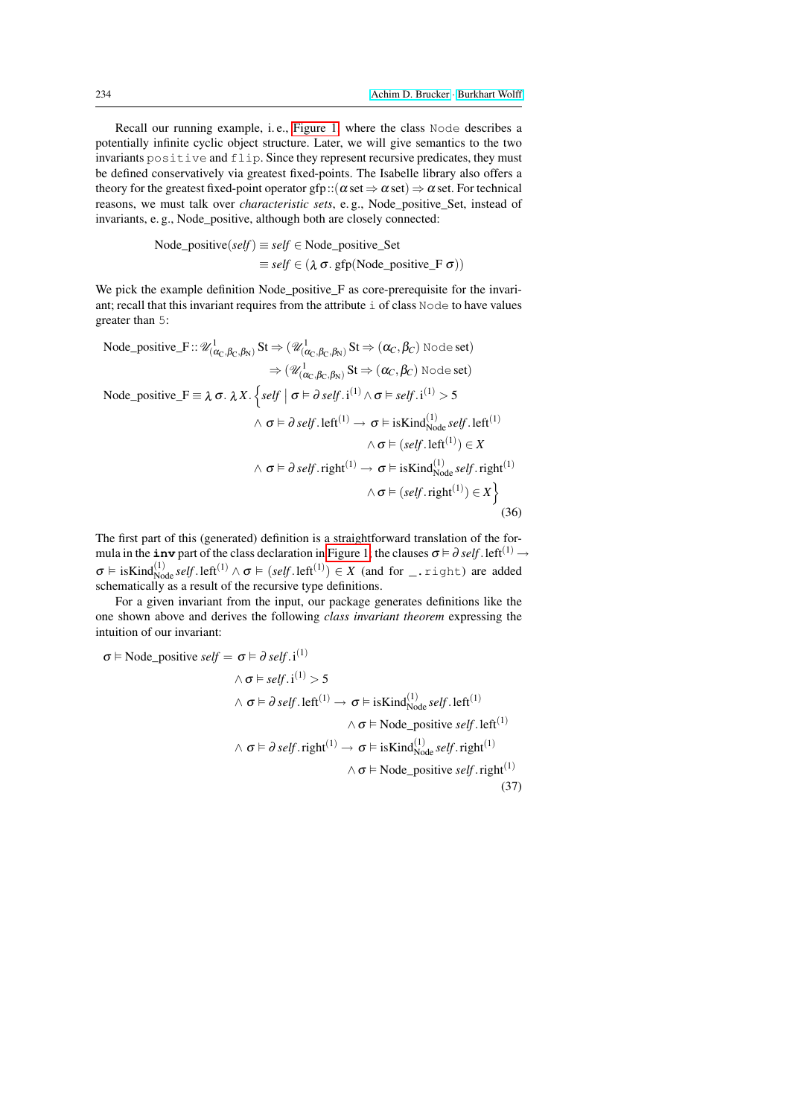Recall our running example, i.e., Figure 1, where the class Node describes a potentially infinite cyclic object structure. Later, we will give semantics to the two invariants positive and flip. Since they represent recursive predicates, they must be defined conservatively via greatest fixed-points. The Isabelle library also offers a theory for the greatest fixed-point operator gfp::(α set ⇒ α set) ⇒ α set. For technical reasons, we must talk over *characteristic sets*, e. g., Node\_positive\_Set, instead of invariants, e. g., Node\_positive, although both are closely connected:

Node-positive(*self*) 
$$
\equiv
$$
 *self*  $\in$  Node-positive\_set  
 $\equiv$  *self*  $\in$  ( $\lambda \sigma$ . *gfp*(Node-positive\_F  $\sigma$ ))

We pick the example definition Node\_positive\_F as core-prerequisite for the invariant; recall that this invariant requires from the attribute i of class Node to have values greater than 5:

Node-positive\_F :: 
$$
\mathcal{U}^1_{(\alpha_C, \beta_C, \beta_N)}
$$
 St ⇒  $(\mathcal{U}^1_{(\alpha_C, \beta_C, \beta_N)}$  St ⇒  $(\alpha_C, \beta_C)$  Node set)  
\n⇒  $(\mathcal{U}^1_{(\alpha_C, \beta_C, \beta_N)}$  St ⇒  $(\alpha_C, \beta_C)$  Node set)  
\nNode-positive\_F ≡  $\lambda \sigma$ .  $\lambda X$ . {*self* |  $\sigma \models \partial \text{ self. i}^{(1)} \land \sigma \models \text{self. i}^{(1)} > 5$   
\n $\land \sigma \models \partial \text{ self. left}^{(1)} \rightarrow \sigma \models \text{isKind}^{(1)}_{\text{Node}} \text{ self. left}^{(1)}$   
\n $\land \sigma \models (self \text{. left}^{(1)}) \in X$   
\n $\land \sigma \models \partial \text{ self. right}^{(1)} \rightarrow \sigma \models \text{isKind}^{(1)}_{\text{Node}} \text{ self. right}^{(1)}$   
\n $\land \sigma \models (self \text{. right}^{(1)}) \in X$  } (36)

The first part of this (generated) definiti[on is a st](#page-5-1)raightforward translation of the formula in the **inv** part of the class declaration in Figure 1; the clauses  $\sigma \models \partial \text{ self. left}^{(1)} \rightarrow$  $\sigma \models \text{isKind}_{\text{Node}}^{(1)} \text{self}.\text{left}^{(1)} \land \sigma \models (\text{self}.\text{left}^{(1)}) \in X \text{ (and for } \_, \text{right}) \text{ are added}$ schematically as a result of the recursive type definitions.

For a given invariant from the input, our package generates definitions like the one shown above and derives the following *class invariant theorem* expressing the intuition of our invariant:

$$
\sigma \models \text{Node\_positive} \ \text{self} = \sigma \models \partial \ \text{self}.i^{(1)}
$$
\n
$$
\wedge \ \sigma \models \text{self}.i^{(1)} > 5
$$
\n
$$
\wedge \ \sigma \models \partial \ \text{self}. \ \text{left}^{(1)} \rightarrow \sigma \models \text{isKind}_{\text{Node}}^{(1)} \ \text{self}. \ \text{left}^{(1)}
$$
\n
$$
\wedge \ \sigma \models \text{Node\_positive} \ \text{self}. \ \text{left}^{(1)}
$$
\n
$$
\wedge \ \sigma \models \partial \ \text{self}. \ \text{right}^{(1)} \rightarrow \sigma \models \text{isKind}_{\text{Node}}^{(1)} \ \text{self}. \ \text{right}^{(1)}
$$
\n
$$
\wedge \ \sigma \models \text{Node\_positive} \ \text{self}. \ \text{right}^{(1)}
$$
\n(37)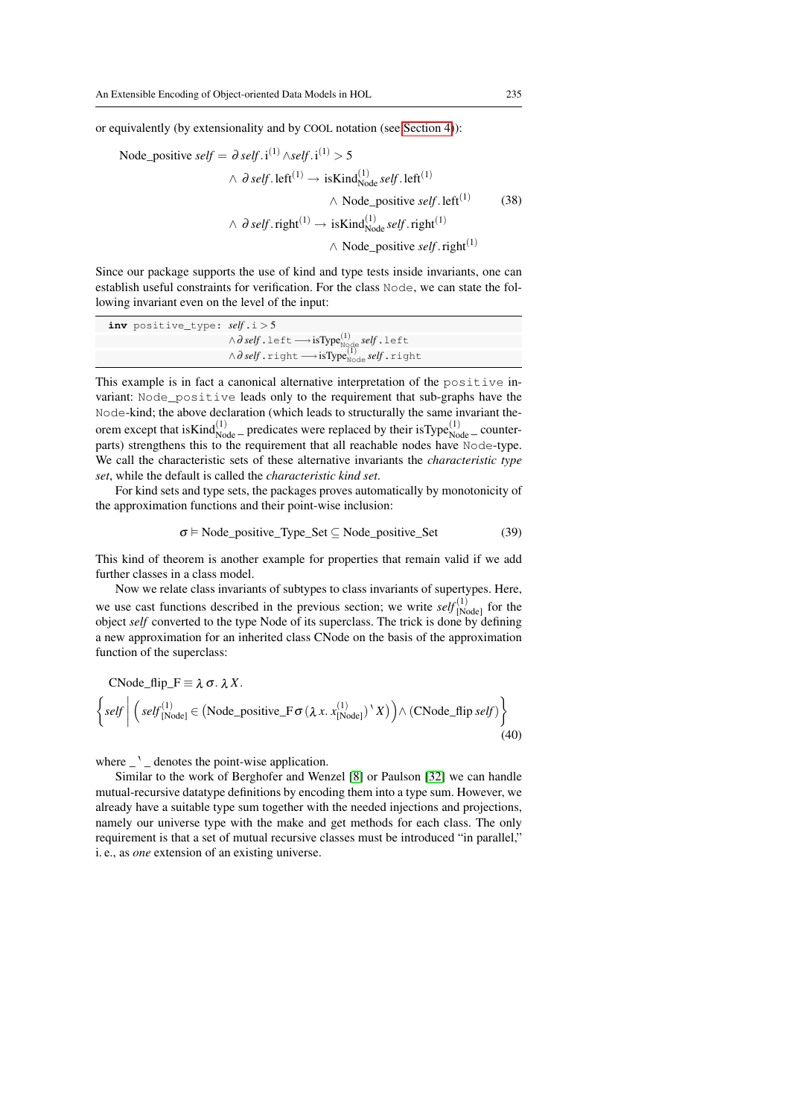or equivalently (by extensionality and by COOL notation (see Section 4)):

Node-positive *self* = 
$$
\partial
$$
 *self*.<sup>1</sup> (1) ∧ *self*.<sup>1</sup> (1) > 5  
\n∧  $\partial$  *self*.<sup>1</sup> (1) → *isKind*<sup>(1)</sup> ∧ *Node*.<sup>1</sup> (28)  
\n∧  $\partial$  *self*.<sup>1</sup> (38)  
\n∧  $\partial$  *self*.<sup>1</sup> (1) → *isKind*<sup>(1)</sup> ∧ *Node*.<sup>1</sup> (39)  
\n∧  $\partial$  *self*.<sup>1</sup> (39)  
\n∧ *Node* \_*positive*.<sup>1</sup> (30)

Since our package supports the use of kind and type tests inside invariants, one can establish useful constraints for verification. For the class Node, we can state the following invariant even on the level of the input:

| inv positive_type: $self.i > 5$ |                                                                                         |
|---------------------------------|-----------------------------------------------------------------------------------------|
|                                 | $\wedge \partial$ self. left $\longrightarrow$ isType $_{\text{Node}}^{(1)}$ self. left |
|                                 | $\wedge$ d self.right $\longrightarrow$ is Type $_{\text{Node}}^{(1)}$ self.right       |

This example is in fact a canonical alternative interpretation of the positive invariant: Node\_positive leads only to the requirement that sub-graphs have the Node-kind; the above declaration (which leads to structurally the same invariant theorem except that is Kind $_{\text{Node}}^{(1)}$  predicates were replaced by their is Type $_{\text{Node}}^{(1)}$  counterparts) strengthens this to the requirement that all reachable nodes have Node-type. We call the characteristic sets of these alternative invariants the *characteristic type set*, while the default is called the *characteristic kind set*.

For kind sets and type sets, the packages proves automatically by monotonicity of the approximation functions and their point-wise inclusion:

$$
\sigma \vDash Node\_positive\_Type\_Set \subseteq Node\_positive\_Set
$$
 (39)

This kind of theorem is another example for properties that remain valid if we add further classes in a class model.

Now we relate class invariants of subtypes to class invariants of supertypes. Here, we use cast functions described in the previous section; we write  $self_{[Node]}^{(1)}$  for the object *self* converted to the type Node of its superclass. The trick is done by defining a new approximation for an inherited class CNode on the basis of the approximation function of the superclass:

$$
\text{CVode\_flip\_F} ≡ λ σ. λ X.
$$
\n
$$
\left\{ \text{self} \mid (\text{self}_{[Node]}^{(1)} \in (\text{Node\_positive\_F σ } (λ x. x_{[Node]}^{(1)})' X)) \land (\text{CVode\_flip} \text{ self}) \right\}
$$
\n(40)

where  $\angle$   $\angle$  denotes the point-wise application.

Similar to the work of Berghofer and Wenzel [8] or Paulson [32] we can handle mutual-recursive datatype definitions by encoding them into a type sum. However, we already have a suitable type sum together with the needed injections and projections, namely our universe type with the make and get methods for each class. The only requirement is that a set of mutual recursive classes must be introduced "in parallel," i. e., as *one* extension of an existing universe.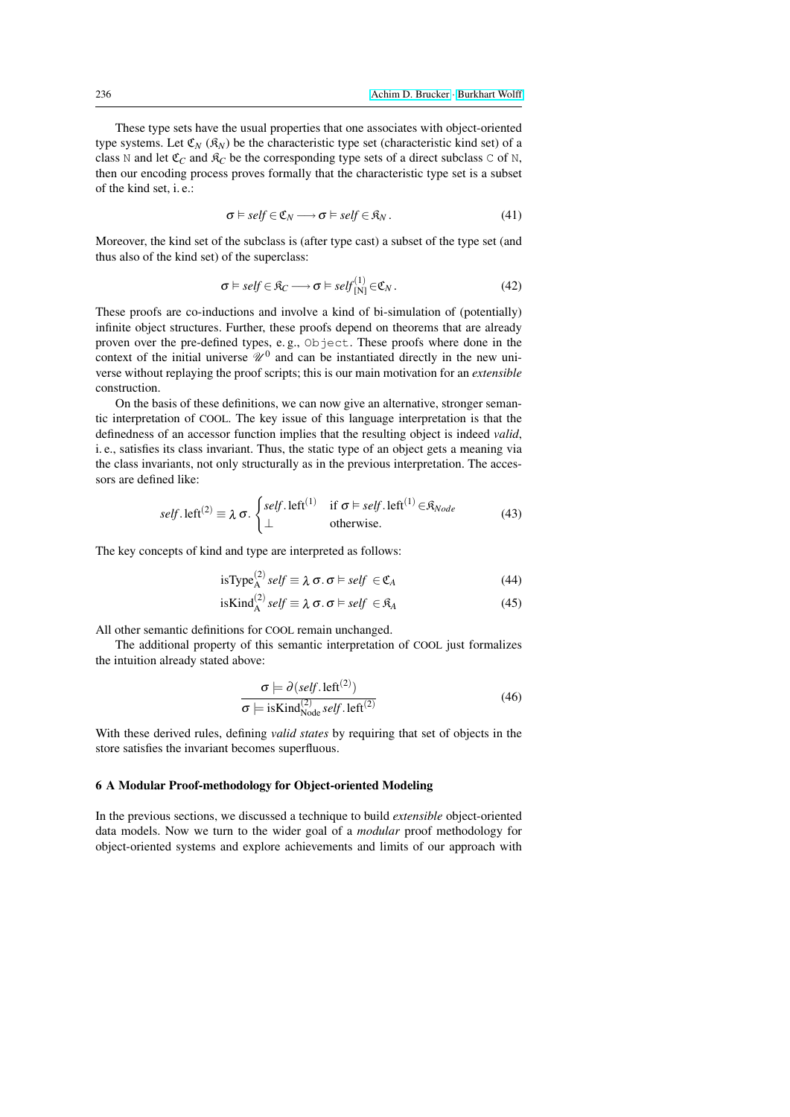These type sets have the usual properties that one associates with object-oriented type systems. Let  $\mathfrak{C}_N$  ( $\mathfrak{K}_N$ ) be the characteristic type set (characteristic kind set) of a class N and let  $\mathfrak{C}_C$  and  $\mathfrak{K}_C$  be the corresponding type sets of a direct subclass C of N, then our encoding process proves formally that the characteristic type set is a subset of the kind set, i. e.:

$$
\sigma \vDash \mathit{self} \in \mathfrak{C}_N \longrightarrow \sigma \vDash \mathit{self} \in \mathfrak{K}_N. \tag{41}
$$

Moreover, the kind set of the subclass is (after type cast) a subset of the type set (and thus also of the kind set) of the superclass:

$$
\sigma \vDash \mathit{self} \in \mathfrak{K}_C \longrightarrow \sigma \vDash \mathit{self}_{[N]}^{(1)} \in \mathfrak{C}_N. \tag{42}
$$

These proofs are co-inductions and involve a kind of bi-simulation of (potentially) infinite object structures. Further, these proofs depend on theorems that are already proven over the pre-defined types, e. g., Object. These proofs where done in the context of the initial universe  $\mathcal{U}^0$  and can be instantiated directly in the new universe without replaying the proof scripts; this is our main motivation for an *extensible* construction.

On the basis of these definitions, we can now give an alternative, stronger semantic interpretation of COOL. The key issue of this language interpretation is that the definedness of an accessor function implies that the resulting object is indeed *valid*, i. e., satisfies its class invariant. Thus, the static type of an object gets a meaning via the class invariants, not only structurally as in the previous interpretation. The accessors are defined like:

$$
self. \text{left}^{(2)} \equiv \lambda \sigma. \begin{cases} self. \text{left}^{(1)} & \text{if } \sigma \models self. \text{left}^{(1)} \in \mathfrak{K}_{Node} \\ \perp & \text{otherwise.} \end{cases} \tag{43}
$$

The key concepts of kind and type are interpreted as follows:

isType<sub>A</sub><sup>(2)</sup> 
$$
self \equiv \lambda \sigma \cdot \sigma \models self \in \mathfrak{C}_A
$$
 (44)

is
$$
isKind_A^{(2)}self \equiv \lambda \sigma. \sigma \vDash self \in \mathfrak{K}_A \tag{45}
$$

All other semantic definitions for COOL remain unchanged.

The additional property of this semantic interpretation of COOL just formalizes the intuition already stated above:

$$
\sigma \models \partial (self. \text{left}^{(2)})\n\sigma \models \text{isKind}^{(2)}_{\text{Node}} \text{self. left}^{(2)}
$$
\n(46)

<span id="page-17-0"></span>With these derived rules, defining *valid states* by requiring that set of objects in the store satisfies the invariant becomes superfluous.

# 6 A Modular Proof-methodology for Object-oriented Modeling

In the previous sections, we discussed a technique to build *extensible* object-oriented data models. Now we turn to the wider goal of a *modular* proof methodology for object-oriented systems and explore achievements and limits of our approach with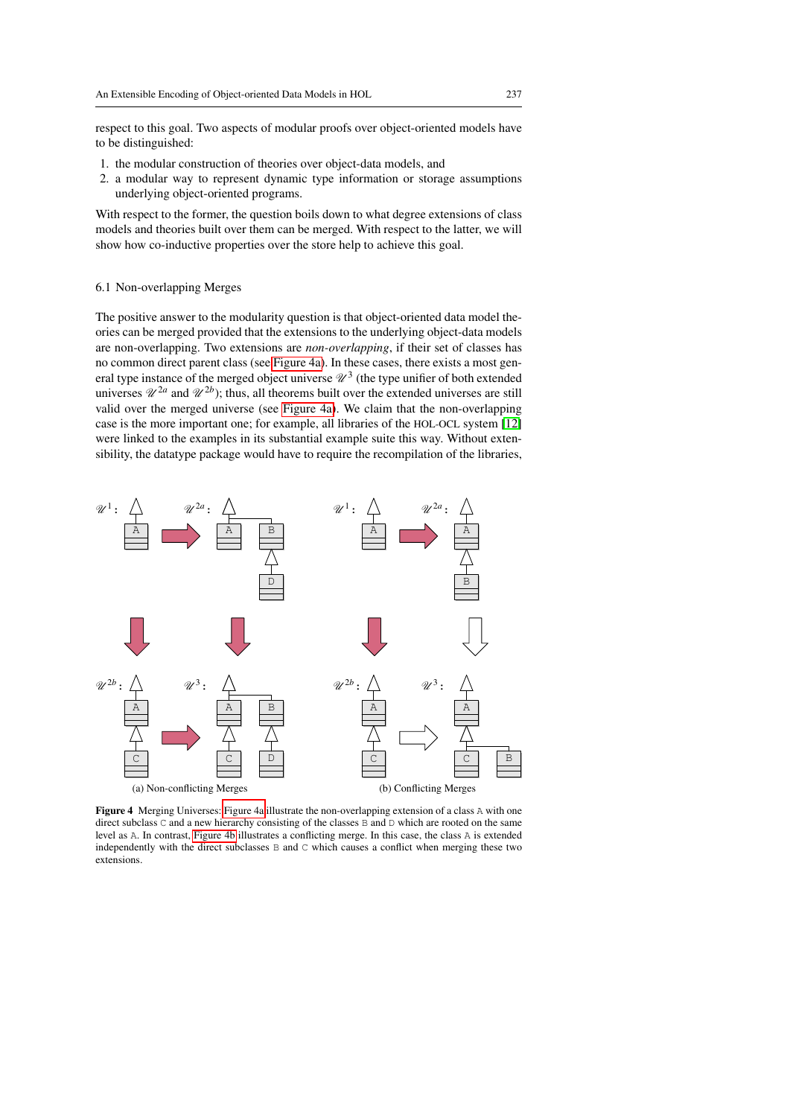respect to this goal. Two aspects of modular proofs over object-oriented models have to be distinguished:

- 1. the modular construction of theories over object-data models, and
- 2. a modular way to represent dynamic type information or storage assumptions underlying object-oriented programs.

With respect to the former, the question boils down to what degree extensions of class models and theories built over them can be merged. With respect to the latter, we will show how co-inductive properties over the store help to achieve this goal.

### 6.1 Non-overlapping Merges

The positive answer to the modularity question is that object-oriented data model theories can be merged provided [that the ex](#page-18-0)tensions to the underlying object-data models are non-overlapping. Two extensions are *non-overlapping*, if their set of classes has no common direct parent class (see Figure 4a). In these cases, there exists a most general type instance of the merge[d object uni](#page-18-0)verse  $\mathcal{U}^3$  (the type unifier of both extended universes  $\mathcal{U}^{2a}$  and  $\mathcal{U}^{2b}$ ); thus, all theorems built over the extended univers[es a](#page-29-6)re still valid over the merged universe (see Figure 4a). We claim that the non-overlapping case is the more important one; for example, all libraries of the HOL-OCL system [12] were linked to the examples in its substantial example suite this way. Without extensibility, the datatype package would have to require the recompilation of the libraries,

<span id="page-18-0"></span>

<span id="page-18-1"></span>Figure 4 Merg[ing Univers](#page-18-1)es: Figure 4a illustrate the non-overlapping extension of a class A with one direct subclass C and a new hierarchy consisting of the classes B and D which are rooted on the same level as A. In contrast, Figure 4b illustrates a conflicting merge. In this case, the class A is extended independently with the direct subclasses B and C which causes a conflict when merging these two extensions.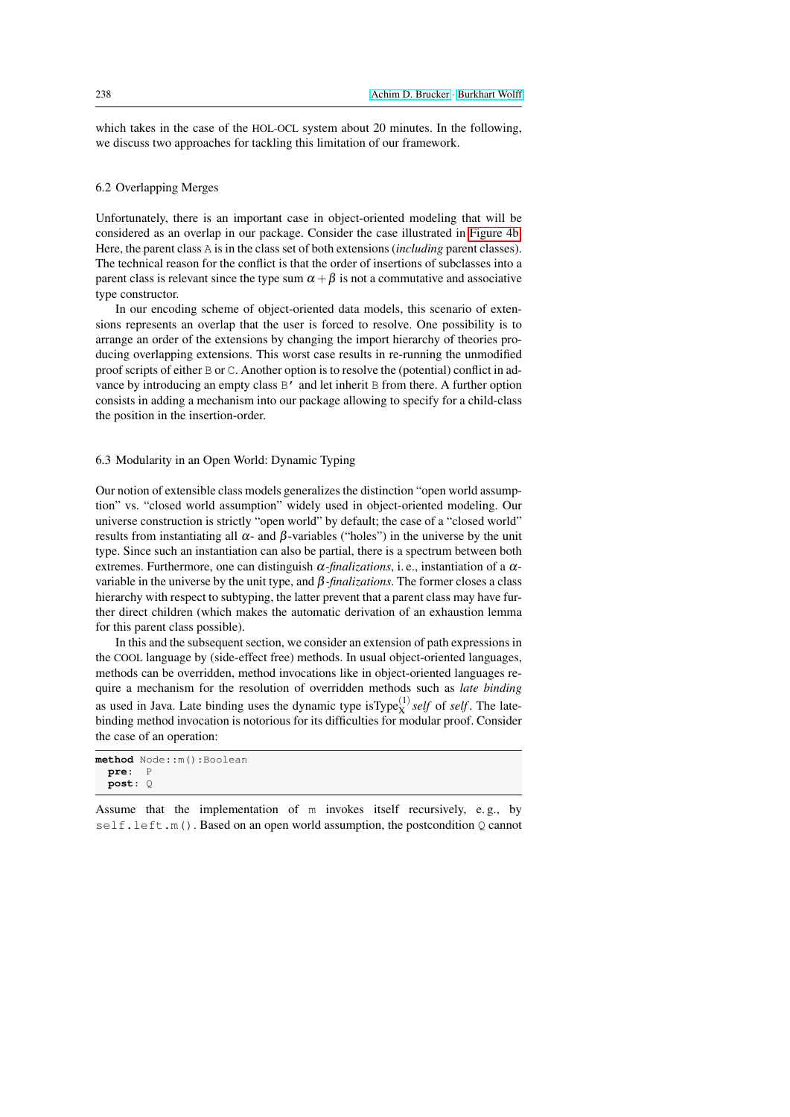which takes in the case of the HOL-OCL system about 20 minutes. In the following, we discuss two approaches for tackling this limitation of our framework.

## 6.2 Overlapping Merges

Unfortunately, there is an important case in object-oriented mode[ling that w](#page-18-1)ill be considered as an overlap in our package. Consider the case illustrated in Figure 4b. Here, the parent class A is in the class set of both extensions (*including* parent classes). The technical reason for the conflict is that the order of insertions of subclasses into a parent class is relevant since the type sum  $\alpha + \beta$  is not a commutative and associative type constructor.

In our encoding scheme of object-oriented data models, this scenario of extensions represents an overlap that the user is forced to resolve. One possibility is to arrange an order of the extensions by changing the import hierarchy of theories producing overlapping extensions. This worst case results in re-running the unmodified proof scripts of either B or C. Another option is to resolve the (potential) conflict in advance by introducing an empty class B' and let inherit B from there. A further option consists in adding a mechanism into our package allowing to specify for a child-class the position in the insertion-order.

# 6.3 Modularity in an Open World: Dynamic Typing

Our notion of extensible class models generalizes the distinction "open world assumption" vs. "closed world assumption" widely used in object-oriented modeling. Our universe construction is strictly "open world" by default; the case of a "closed world" results from instantiating all  $\alpha$ - and  $\beta$ -variables ("holes") in the universe by the unit type. Since such an instantiation can also be partial, there is a spectrum between both extremes. Furthermore, one can distinguish α*-finalizations*, i. e., instantiation of a αvariable in the universe by the unit type, and β*-finalizations*. The former closes a class hierarchy with respect to subtyping, the latter prevent that a parent class may have further direct children (which makes the automatic derivation of an exhaustion lemma for this parent class possible).

In this and the subsequent section, we consider an extension of path expressions in the COOL language by (side-effect free) methods. In usual object-oriented languages, methods can be overridden, method invocations like in object-oriented languages require a mechanism for the resolution of overridden methods such as *late binding* as used in Java. Late binding uses the dynamic type is  $Type_X^{(1)}$  *self* of *self*. The latebinding method invocation is notorious for its difficulties for modular proof. Consider the case of an operation:

```
method Node::m():Boolean
 pre: P
  post: Q
```
Assume that the implementation of m invokes itself recursively, e. g., by self.left.m(). Based on an open world assumption, the postcondition Q cannot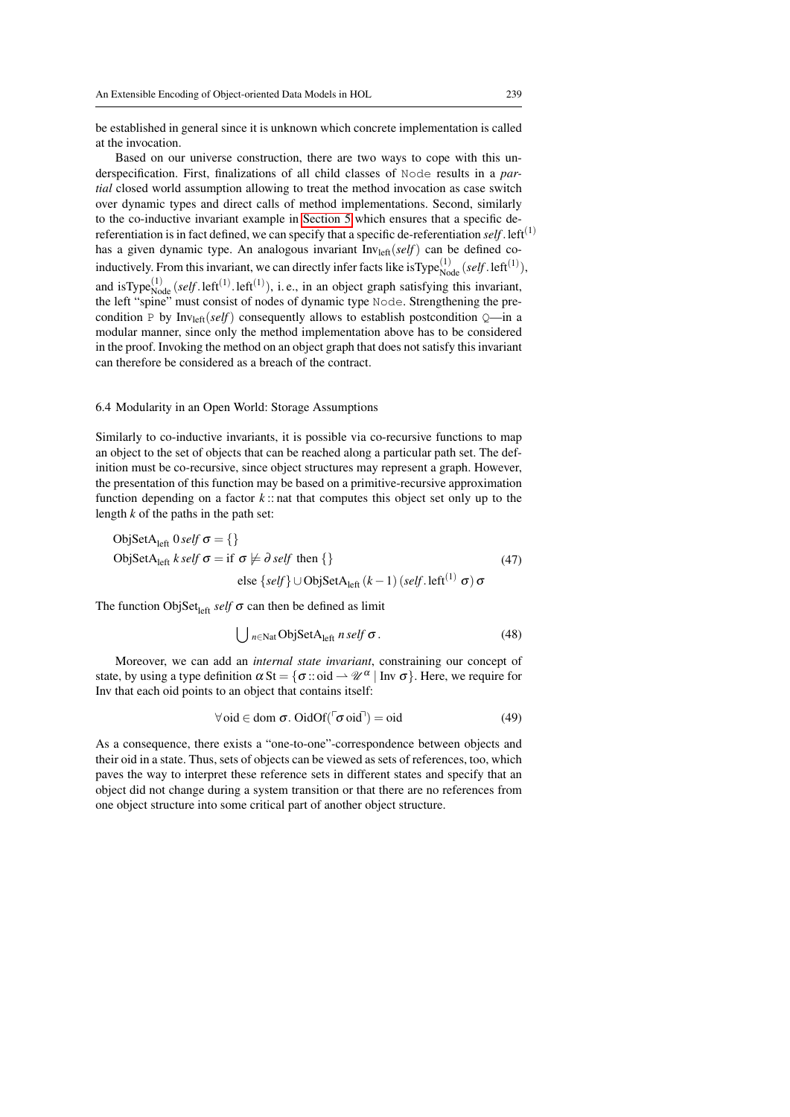be established in general since it is unknown which concrete implementation is called at the invocation.

Based on our universe construction, there are two ways to cope with this underspecification. First, finalizations of all child classes of Node results in a *partial* closed world assumption allo[wing to trea](#page-14-0)t the method invocation as case switch over dynamic types and direct calls of method implementations. Second, similarly to the co-inductive invariant example in Section 5 which ensures that a specific dereferentiation is in fact defined, we can specify that a specific de-referentiation *self*. left<sup> $(1)$ </sup> has a given dynamic type. An analogous invariant  $Inv<sub>left</sub>(self)$  can be defined coinductively. From this invariant, we can directly infer facts like is  $Type_{Node}^{(1)} (self. left^{(1)})$ , and isType ${}_{\text{Node}}^{(1)}$  (*self*. left<sup>(1)</sup>. left<sup>(1)</sup>), i.e., in an object graph satisfying this invariant, the left "spine" must consist of nodes of dynamic type Node. Strengthening the precondition P by Inv<sub>left</sub>(*self*) consequently allows to establish postcondition  $Q$ —in a modular manner, since only the method implementation above has to be considered in the proof. Invoking the method on an object graph that does not satisfy this invariant can therefore be considered as a breach of the contract.

#### <span id="page-20-0"></span>6.4 Modularity in an Open World: Storage Assumptions

Similarly to co-inductive invariants, it is possible via co-recursive functions to map an object to the set of objects that can be reached along a particular path set. The definition must be co-recursive, since object structures may represent a graph. However, the presentation of this function may be based on a primitive-recursive approximation function depending on a factor  $k$ : nat that computes this object set only up to the length  $k$  of the paths in the path set:

$$
\begin{aligned}\n\text{ObjSetA}_{\text{left}} \, 0 \, \text{self} \, \sigma &= \{ \} \\
\text{ObjSetA}_{\text{left}} \, k \, \text{self} \, \sigma &= \text{if } \sigma \not\models \partial \, \text{self} \, \text{ then } \{ \} \\
&\quad \text{else } \{ \text{self} \} \cup \text{ObjSetA}_{\text{left}} \, (k-1) \, (\text{self} \, . \text{left}^{(1)} \, \sigma) \, \sigma\n\end{aligned}\n\tag{47}
$$

The function ObjSet<sub>left</sub>  $self \sigma$  can then be defined as limit

$$
\bigcup_{n \in \text{Nat}} \text{ObjSetA}_{\text{left}} \, n \, self \, \sigma \,. \tag{48}
$$

Moreover, we can add an *internal state invariant*, constraining our concept of state, by using a type definition  $\alpha$  St = { $\sigma$  :: oid  $\rightarrow \mathcal{U}^{\alpha}$  | Inv  $\sigma$ }. Here, we require for Inv that each oid points to an object that contains itself:

$$
\forall \text{oid} \in \text{dom } \sigma. \text{ OidOf}(\ulcorner \sigma \text{oid} \urcorner) = \text{oid}
$$
 (49)

As a consequence, there exists a "one-to-one"-correspondence between objects and their oid in a state. Thus, sets of objects can be viewed as sets of references, too, which paves the way to interpret these reference sets in different states and specify that an object did not change during a system transition or that there are no references from one object structure into some critical part of another object structure.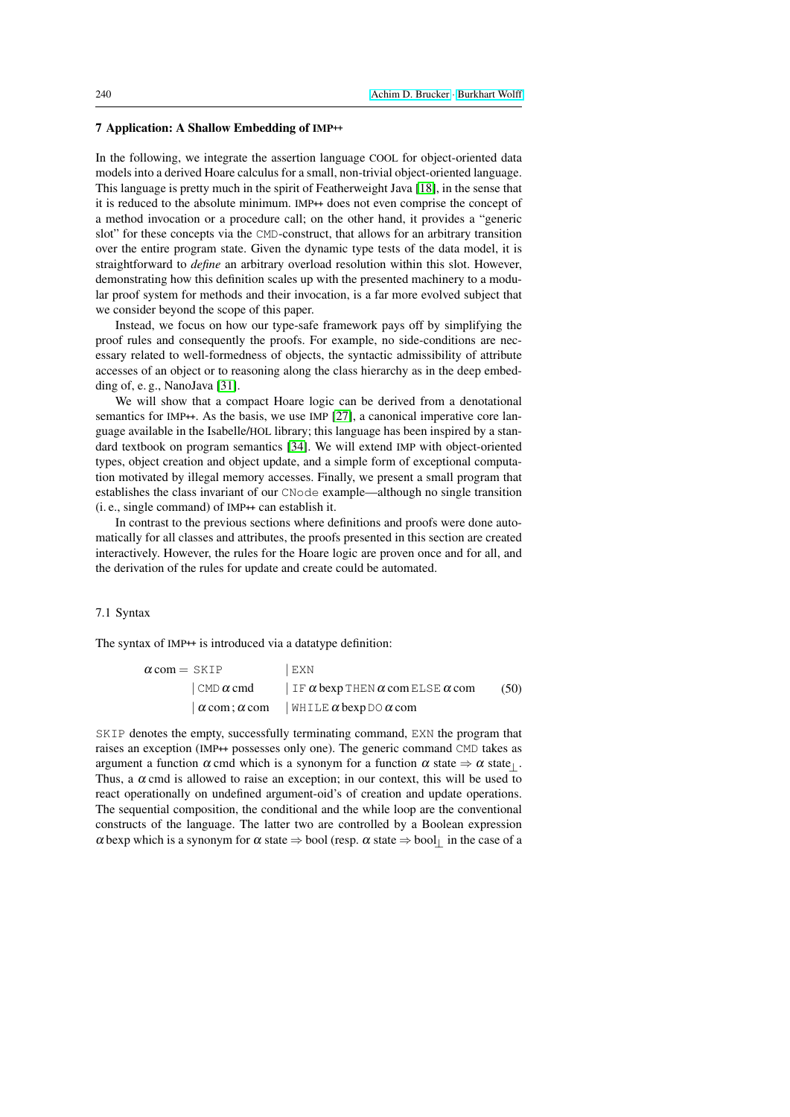### <span id="page-21-0"></span>7 Application: A Shallow Embedding of IMP++

In the following, we integrate the assertion language CO[OL](#page-29-9) for object-oriented data models into a derived Hoare calculus for a small, non-trivial object-oriented language. This language is pretty much in the spirit of Featherweight Java [18], in the sense that it is reduced to the absolute minimum. IMP++ does not even comprise the concept of a method invocation or a procedure call; on the other hand, it provides a "generic slot" for these concepts via the CMD-construct, that allows for an arbitrary transition over the entire program state. Given the dynamic type tests of the data model, it is straightforward to *define* an arbitrary overload resolution within this slot. However, demonstrating how this definition scales up with the presented machinery to a modular proof system for methods and their invocation, is a far more evolved subject that we consider beyond the scope of this paper.

Instead, we focus on how our type-safe framework pays off by simplifying the proof rules and consequently the proofs. For example, no side-conditions are necessary related to [well-](#page-30-0)formedness of objects, the syntactic admissibility of attribute accesses of an object or to reasoning along the class hierarchy as in the deep embedding of, e. g., NanoJava [31].

We will show that a compact Hoare logic can be derived from a denotational semantics for IMP++. As the basi[s, w](#page-30-1)e use IMP [27], a canonical imperative core language available in the Isabelle/HOL library; this language has been inspired by a standard textbook on program semantics [34]. We will extend IMP with object-oriented types, object creation and object update, and a simple form of exceptional computation motivated by illegal memory accesses. Finally, we present a small program that establishes the class invariant of our CNode example—although no single transition (i. e., single command) of IMP++ can establish it.

In contrast to the previous sections where definitions and proofs were done automatically for all classes and attributes, the proofs presented in this section are created interactively. However, the rules for the Hoare logic are proven once and for all, and the derivation of the rules for update and create could be automated.

### 7.1 Syntax

The syntax of IMP<sup>++</sup> is introduced via a datatype definition:

| $\alpha$ com = SKIP | EXN                                                                       |      |
|---------------------|---------------------------------------------------------------------------|------|
| CMD $\alpha$ cmd    | IF $\alpha$ bexp THEN $\alpha$ com ELSE $\alpha$ com                      | (50) |
|                     | $\alpha$ com ; $\alpha$ com $\forall$ WHILE $\alpha$ bexp DO $\alpha$ com |      |

SKIP denotes the empty, successfully terminating command, EXN the program that raises an exception (IMP++ possesses only one). The generic command CMD takes as argument a function  $\alpha$  cmd which is a synonym for a function  $\alpha$  state  $\Rightarrow \alpha$  state<sub>1</sub>. Thus, a  $\alpha$  cmd is allowed to raise an exception; in our context, this will be used to react operationally on undefined argument-oid's of creation and update operations. The sequential composition, the conditional and the while loop are the conventional constructs of the language. The latter two are controlled by a Boolean expression  $\alpha$  bexp which is a synonym for  $\alpha$  state  $\Rightarrow$  bool (resp.  $\alpha$  state  $\Rightarrow$  bool<sub>|</sub> in the case of a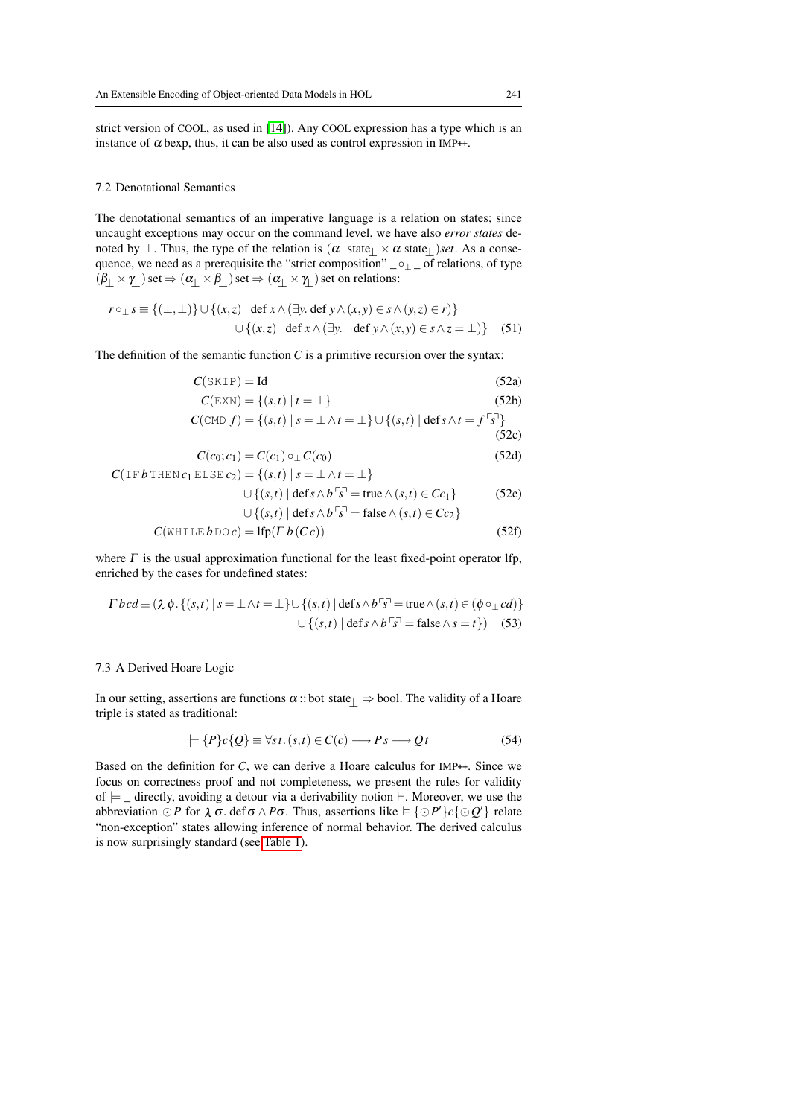strict version of COOL, as used in [14]). Any COOL expression has a type which is an instance of  $\alpha$  bexp, thus, it can be also used as control expression in IMP++.

## 7.2 Denotational Semantics

The denotational semantics of an imperative language is a relation on states; since uncaught exceptions may occur on the command level, we have also *error states* denoted by  $\bot$ . Thus, the type of the relation is  $(\alpha \text{ state}_1 \times \alpha \text{ state}_1)$ *set*. As a consequence, we need as a prerequisite the "strict composition"  $\Box \circ \bot$  of relations, of type  $(\beta_{\perp} \times \gamma_{\perp})$  set  $\Rightarrow (\alpha_{\perp} \times \beta_{\perp})$  set  $\Rightarrow (\alpha_{\perp} \times \gamma_{\perp})$  set on relations:

$$
r \circ_{\perp} s \equiv \{ (\perp, \perp) \} \cup \{ (x, z) \mid \text{def } x \land (\exists y. \text{ def } y \land (x, y) \in s \land (y, z) \in r) \}
$$
  

$$
\cup \{ (x, z) \mid \text{def } x \land (\exists y. \neg \text{def } y \land (x, y) \in s \land z = \perp) \} \quad (51)
$$

The definition of the semantic function  $C$  is a primitive recursion over the syntax:

$$
C(SKIP) = Id
$$
 (52a)

$$
C(\text{EXN}) = \{(s,t) | t = \bot\}
$$
\n
$$
C(\text{CMD } f) = f(s, t) | s = \bot \land t = \bot \cup \{f(s, t) | \text{def } s \land t = f(s) \}
$$
\n
$$
(52b)
$$

$$
C(\text{CMD } f) = \{(s,t) \mid s = \bot \land t = \bot\} \cup \{(s,t) \mid \text{def } s \land t = f\ulcorner \overline{s}\urcorner\}
$$
\n(52c)

$$
C(c_0; c_1) = C(c_1) \circ_{\perp} C(c_0)
$$
\n(52d)

$$
C(\text{IF } b \text{ THEN } c_1 \text{ ELSE } c_2) = \{ (s, t) \mid s = \bot \land t = \bot \}
$$

$$
\bigcup \{(s,t) \mid \text{def } s \wedge b^{\top} \overline{s} \} = \text{true} \wedge (s,t) \in Cc_1\}
$$
\n
$$
\bigcup \{(s,t) \mid \text{def } s \wedge b^{\top} \overline{s} \} = \text{false} \wedge (s,t) \in Cc_2\}
$$
\n
$$
(52e)
$$

$$
C(\text{WHILE } b \text{ DO } c) = \text{Ifp}(\Gamma b(Cc))
$$
\n(52f)

where  $\Gamma$  is the usual approximation functional for the least fixed-point operator lfp, enriched by the cases for undefined states:

$$
\Gamma \, b \, c \, d \equiv (\lambda \, \phi \cdot \{ (s, t) \mid s = \bot \land t = \bot \} \cup \{ (s, t) \mid \text{def } s \land b \, \ulcorner \overline{s} \urcorner = \text{true} \land (s, t) \in (\phi \circ \bot \, c \, d) \} \cup \{ (s, t) \mid \text{def } s \land b \, \ulcorner \overline{s} \urcorner = \text{false} \land s = t \}) \tag{53}
$$

### 7.3 A Derived Hoare Logic

In our setting, assertions are functions  $\alpha$  :: bot state<sub>⊥</sub>  $\Rightarrow$  bool. The validity of a Hoare triple is stated as traditional:

$$
\models \{P\}c\{Q\} \equiv \forall st. (s, t) \in C(c) \longrightarrow Ps \longrightarrow Qt \tag{54}
$$

Based on the definition for *C*, we can derive a Hoare calculus for IMP++. Since we focus on correctness proof and not completeness, we present the rules for validity of  $\models$  directly, avoiding a detour via a derivability notion  $\vdash$ . Moreover, we use the abbreviation  $\odot P$  for  $\lambda \sigma$  [def](#page-23-0)  $\sigma \wedge P\sigma$ . Thus, assertions like  $\models {\odot}P'$ *c*{ $\odot Q'$ } relate "non-exception" states allowing inference of normal behavior. The derived calculus is now surprisingly standard (see Table 1).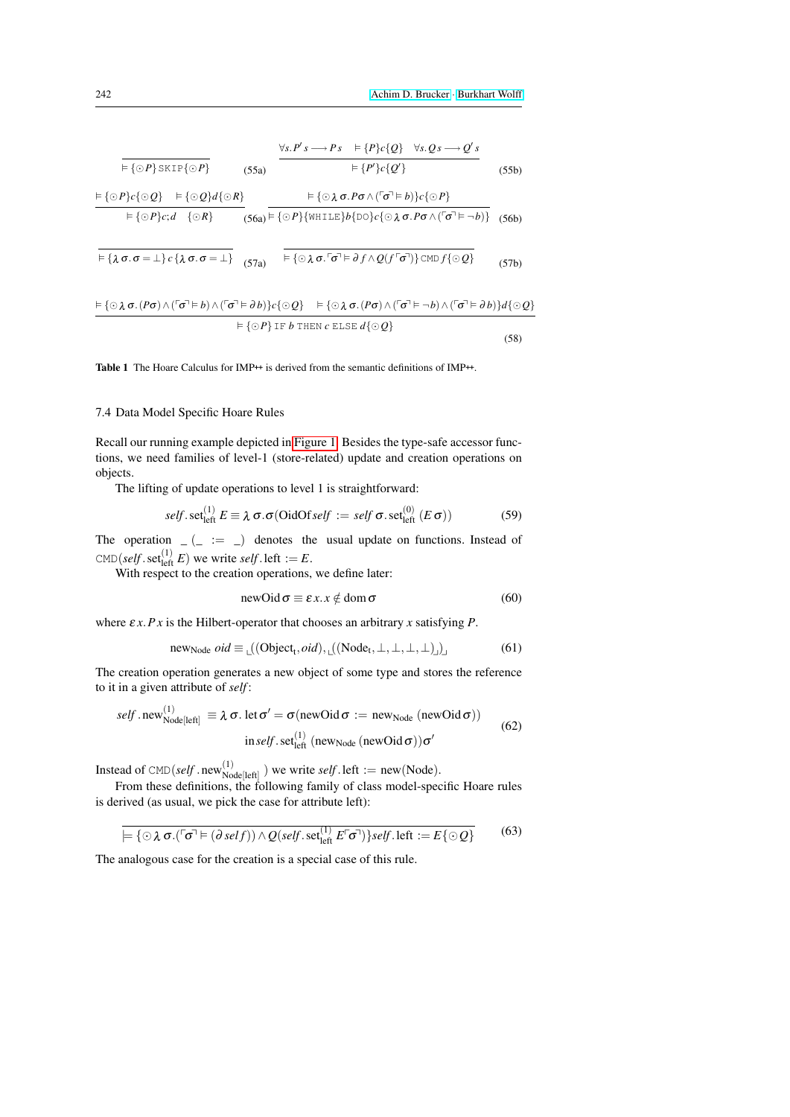<span id="page-23-1"></span>
$$
\frac{\forall s. P's \rightarrow Ps \in \{P\}c\{Q\} \quad \forall s. Qs \rightarrow Q's \in \{S\}c\} \quad (55b)
$$
\n
$$
\frac{\forall s. P's \rightarrow Ps \in \{P\}c\{Q\} \quad \forall s. Qs \rightarrow Q's \in \{S\}c\} \quad (55c)
$$
\n
$$
\frac{\forall s. P's \rightarrow Ps \in \{P\}c\{Q\}}{\exists \{P\}c\{Q'\}} \quad (56d)
$$
\n
$$
\frac{\forall s. P's \rightarrow PS \in \{P\}c\{Q\} \quad \forall s. Qs \rightarrow Q's \in \{S\}c\} \quad (56e)
$$
\n
$$
\frac{\forall s. P's \rightarrow PS \in \{P\}c\{Q\} \quad \forall s. Qs \rightarrow Q's \in \{S\}c\} \quad (56f)
$$
\n
$$
\frac{\forall s. P's \rightarrow Ps \in \{P\}c\{Q\} \quad \exists s. Qs \rightarrow Q's \in \{S\}c\} \quad (57f)
$$
\n
$$
\frac{\forall s. P's \rightarrow PS \in \{P\}c\{Q\} \quad \forall s. Qs \rightarrow Q's \in \{P\}c\{Q\} \quad (57f)
$$
\n
$$
\frac{\forall s. P's \rightarrow PS \in \{P\}c\{Q\} \quad \forall s. Qs \rightarrow Q's \in \{P\}c\{Q\}}{\exists \{P\}c\{Q\} \quad \exists s. Qs \in \{P\}c\{Q\} \quad (57f)
$$
\n
$$
\frac{\forall s. P's \rightarrow PS \in \{P\}c\{Q\} \quad \forall s. Qs \rightarrow Q's \in \{P\}c\{Q\}}{\exists \{P\}c\{Q\}} \quad (57f)
$$
\n
$$
\frac{\forall s. P's \rightarrow \{P\}c\{Q\} \quad \forall s. Qs \rightarrow Q's \in \{P\}c\{Q\}} \quad (57f)
$$
\n
$$
\frac{\forall s. P's \rightarrow \{P\}c\{Q\} \quad \forall s. Qs \rightarrow Q's \in \{P\}c\{Q\}}{\exists \{P\}c\{Q\}} \quad (57f)
$$
\n
$$
\frac{\forall s. P's \rightarrow \{P\}c\{Q\} \quad \forall s. Qs
$$

$$
\vDash \{\odot P\} \text{ IF } b \text{ THEN } c \text{ ELSE } d\{\odot Q\} \tag{58}
$$

<span id="page-23-0"></span>Table 1 The Hoare Calculus for IMP<sup>++</sup> is derived from the semantic definitions of IMP<sup>++</sup>.

# 7.4 Data Model Specific Hoare [Rules](#page-5-1)

Recall our running example depicted in Figure 1. Besides the type-safe accessor functions, we need families of level-1 (store-related) update and creation operations on objects.

The lifting of update operations to level 1 is straightforward:

$$
self. set_{left}^{(1)} E \equiv \lambda \sigma. \sigma (OidOfself := self \sigma. set_{left}^{(0)} (E \sigma))
$$
 (59)

The operation  $\angle$  ( $\angle$  :=  $\angle$ ) denotes the usual update on functions. Instead of CMD(*self*  $\cdot$  set<sub>left</sub>  $E$ ) we write *self*  $\cdot$  left  $:= E$ .

With respect to the creation operations, we define later:

<span id="page-23-2"></span>
$$
newOld \sigma \equiv \varepsilon x. x \notin \text{dom } \sigma \tag{60}
$$

where  $\epsilon x.Px$  is the Hilbert-operator that chooses an arbitrary *x* satisfying *P*.

$$
new_{Node} \text{ } oil \equiv \underline{\underline{\ } } ((Object_t,oid), \underline{\underline{\ } } ((Node_t, \bot, \bot, \bot, \bot) \underline{\underline{\ } }) \tag{61}
$$

The creation operation generates a new object of some type and stores the reference to it in a given attribute of *self* :

$$
self.\operatorname{new}_{\text{Node}[\text{left}]}^{(1)} \equiv \lambda \sigma. \operatorname{let} \sigma' = \sigma(\operatorname{newDid} \sigma := \operatorname{new}_{\text{Node}} (\operatorname{newDid} \sigma))
$$
  
in  $self.\operatorname{set}_{\text{left}}^{(1)} (\operatorname{newNode} (\operatorname{newDid} \sigma)) \sigma'$  (62)

Instead of  $\text{CMD}(self.\text{new}_{N_Q}^{(1)})$  $\sum_{\text{Node}[\text{left}]}^{(1)}$  we write *self* . left := new(Node).

From these definitions, the following family of class model-specific Hoare rules is derived (as usual, we pick the case for attribute left):

$$
\overline{\models} \{\odot \lambda \sigma. (\ulcorner \sigma \urcorner \vDash (\partial \, \mathit{self})) \wedge \mathcal{Q}(\mathit{self}.\, \mathit{set}^{(1)}_{\mathit{left}} \, E \ulcorner \sigma \urcorner)\} \mathit{self}.\, \mathit{left} := E \{\odot \mathcal{Q}\}\
$$
\n
$$
\tag{63}
$$

The analogous case for the creation is a special case of this rule.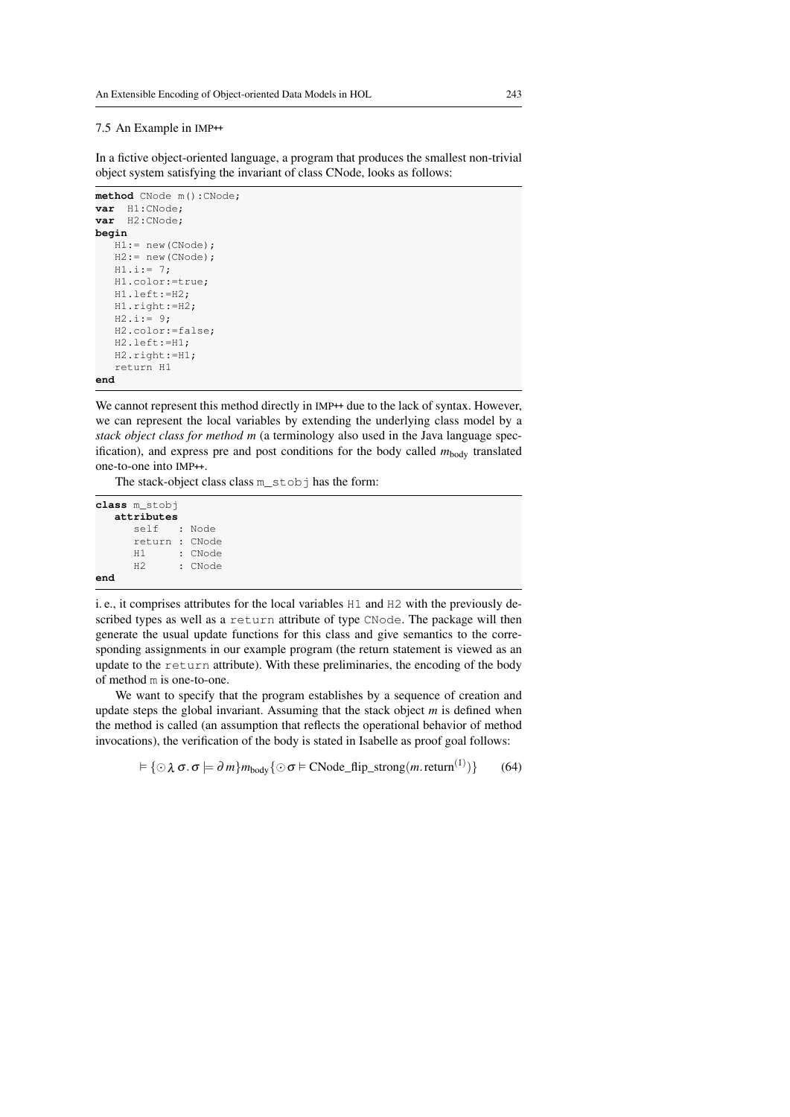#### 7.5 An Example in IMP++

In a fictive object-oriented language, a program that produces the smallest non-trivial object system satisfying the invariant of class CNode, looks as follows:

```
method CNode m():CNode;
var H1:CNode;
var H2:CNode;
begin
  H1:= new(CNode);
  H2:= new(CNode);
  H1.i.=7;H1.color:=true;
  H1.left:=H2;
  H1.right:=H2;
  H2.i:= 9;H2.color:=false;
  H2.left:=H1;
  H2.right:=H1;
  return H1
end
```
We cannot represent this method directly in IMP<sup>++</sup> due to the lack of syntax. However, we can represent the local variables by extending the underlying class model by a *stack object class for method m* (a terminology also used in the Java language specification), and express pre and post conditions for the body called  $m_{\text{body}}$  translated one-to-one into IMP++.

The stack-object class class  $m$  stobj has the form:

```
class m_stobj
  attributes
     self : Node
     return : CNode
     H1 : CNode
     H2 : CNode
end
```
i. e., it comprises attributes for the local variables H1 and H2 with the previously described types as well as a return attribute of type CNode. The package will then generate the usual update functions for this class and give semantics to the corresponding assignments in our example program (the return statement is viewed as an update to the return attribute). With these preliminaries, the encoding of the body of method m is one-to-one.

We want to specify that the program establishes by a sequence of creation and update steps the global invariant. Assuming that the stack object *m* is defined when the method is called (an assumption that reflects the operational behavior of method invocations), the verification of the body is stated in Isabelle as proof goal follows:

$$
\models {\odot \lambda \sigma . \sigma \models \partial m} \mu_{\text{body}} {\odot \sigma \models \text{CNode\_flip\_strong}(m \text{. return}^{(1)}) } \tag{64}
$$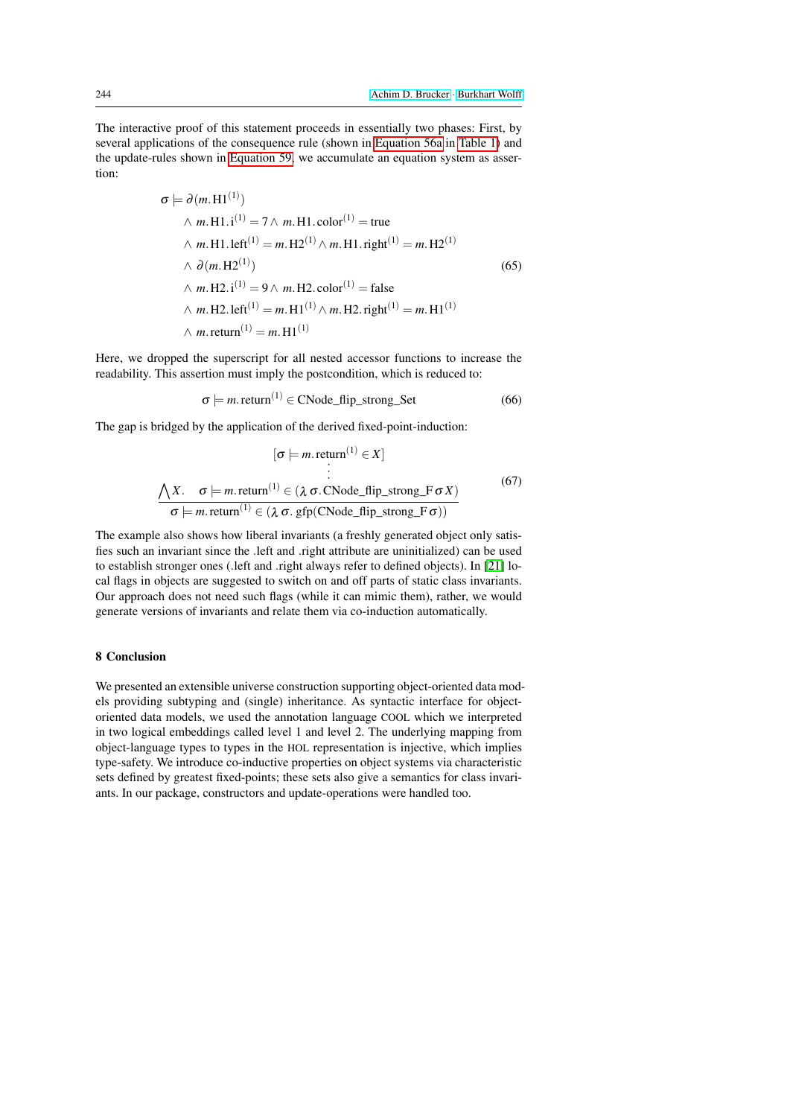The interactive proo[f of this state](#page-23-2)ment proceeds [in essentially](#page-23-1) tw[o phases](#page-23-0): First, by several applications of the consequence rule (shown in Equation 56a in Table 1) and the update-rules shown in Equation 59, we accumulate an equation system as assertion:

$$
\sigma \models \partial(m.H1^{(1)})
$$
  
\n
$$
\land m.H1.i^{(1)} = 7 \land m.H1.color^{(1)} = true
$$
  
\n
$$
\land m.H1.left^{(1)} = m.H2^{(1)} \land m.H1.right^{(1)} = m.H2^{(1)}
$$
  
\n
$$
\land \partial(m.H2^{(1)})
$$
  
\n
$$
\land m.H2.i^{(1)} = 9 \land m.H2.color^{(1)} = false
$$
  
\n
$$
\land m.H2.left^{(1)} = m.H1^{(1)} \land m.H2.right^{(1)} = m.H1^{(1)}
$$
  
\n
$$
\land m.return^{(1)} = m.H1^{(1)}
$$

Here, we dropped the superscript for all nested accessor functions to increase the readability. This assertion must imply the postcondition, which is reduced to:

$$
\sigma \models m.\text{return}^{(1)} \in \text{CNode\_flip\_strong\_Set} \tag{66}
$$

The gap is bridged by the application of the derived fixed-point-induction:

$$
[\sigma \models m.\text{return}^{(1)} \in X]
$$
  
\n
$$
\begin{array}{r}\n\lambda X. \quad \sigma \models m.\text{return}^{(1)} \in (\lambda \sigma.\text{CNode\_flip\_strong\_F}\sigma X) \\
\sigma \models m.\text{return}^{(1)} \in (\lambda \sigma.\text{gfp}(\text{CNode\_flip\_strong\_F}\sigma))\n\end{array}
$$
\n(67)

The example also shows how liberal invariants (a freshly generated obj[ect o](#page-29-10)nly satisfies such an invariant since the .left and .right attribute are uninitialized) can be used to establish stronger ones (.left and .right always refer to defined objects). In [21] local flags in objects are suggested to switch on and off parts of static class invariants. Our approach does not need such flags (while it can mimic them), rather, we would generate versions of invariants and relate them via co-induction automatically.

# <span id="page-25-0"></span>8 Conclusion

We presented an extensible universe construction supporting object-oriented data models providing subtyping and (single) inheritance. As syntactic interface for objectoriented data models, we used the annotation language COOL which we interpreted in two logical embeddings called level 1 and level 2. The underlying mapping from object-language types to types in the HOL representation is injective, which implies type-safety. We introduce co-inductive properties on object systems via characteristic sets defined by greatest fixed-points; these sets also give a semantics for class invariants. In our package, constructors and update-operations were handled too.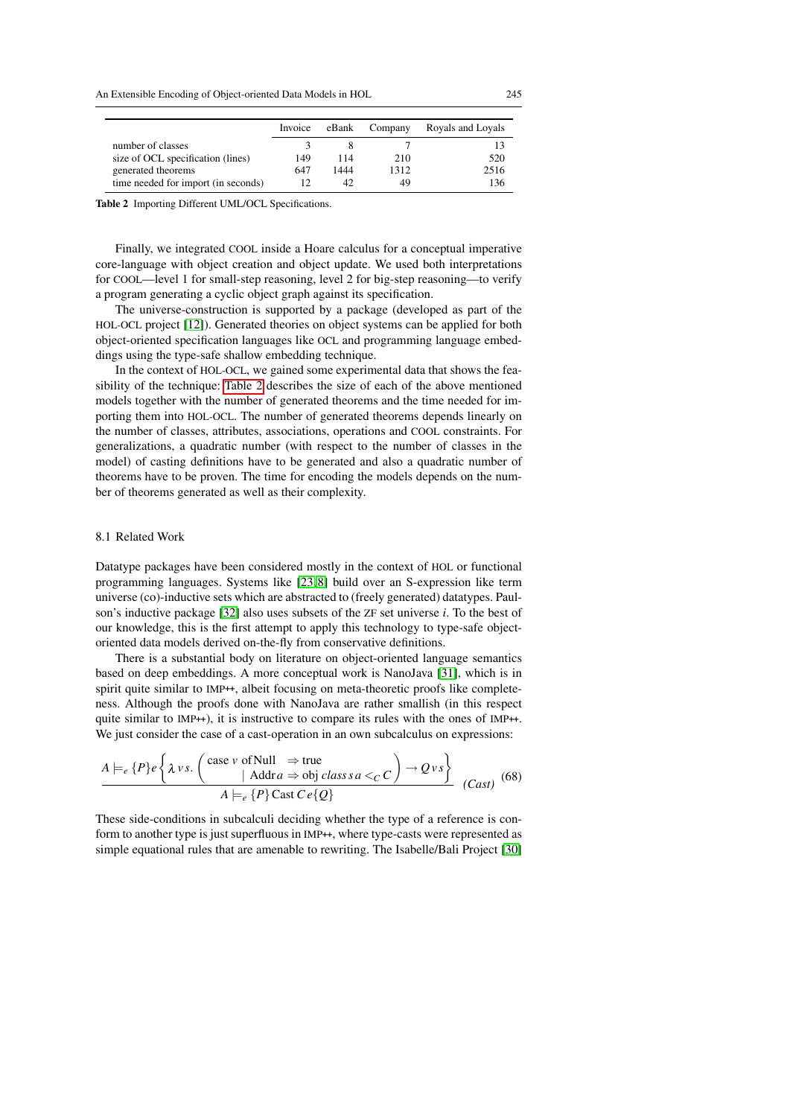An Extensible Encoding of Object-oriented Data Models in HOL 245

|                                     | Invoice | eBank | Company | Royals and Loyals |
|-------------------------------------|---------|-------|---------|-------------------|
| number of classes                   |         |       |         |                   |
| size of OCL specification (lines)   | 149     | 114   | 210     | 520               |
| generated theorems                  | 647     | 1444  | 1312    | 2516              |
| time needed for import (in seconds) |         | 42    | 49      | 136               |

<span id="page-26-0"></span>Table 2 Importing Different UML/OCL Specifications.

Finally, we integrated COOL inside a Hoare calculus for a conceptual imperative core-language with object creation and object update. We used both interpretations for COOL—level 1 for small-step reasoning, level 2 for big-step reasoning—to verify a program g[ene](#page-29-6)rating a cyclic object graph against its specification.

The universe-construction is supported by a package (developed as part of the HOL-OCL project [12]). Generated theories on object systems can be applied for both object-oriented specification languages like OCL and programming language embeddings using the typ[e-safe sh](#page-26-0)allow embedding technique.

In the context of HOL-OCL, we gained some experimental data that shows the feasibility of the technique: Table 2 describes the size of each of the above mentioned models together with the number of generated theorems and the time needed for importing them into HOL-OCL. The number of generated theorems depends linearly on the number of classes, attributes, associations, operations and COOL constraints. For generalizations, a quadratic number (with respect to the number of classes in the model) of casting definitions have to be generated and also a quadratic number of theorems have to be proven. The time for encoding the models depends on the number of theorems generated as well as their complexity.

# 8.1 Related Work

Datatype packages have been considered mostly in the context of HOL or functional programming lang[uag](#page-30-2)es. Systems like [23, 8] build over an S-expression like term universe (co)-inductive sets which are abstracted to (freely generated) datatypes. Paulson's inductive package [32] also uses subsets of the ZF set universe *i*. To the best of our knowledge, this is the first attempt to apply this technology to type-safe objectoriented data models derived on-the-fly from conservative defi[nitio](#page-30-0)ns.

There is a substantial body on literature on object-oriented language semantics based on deep embeddings. A more conceptual work is NanoJava [31], which is in spirit quite similar to IMP++, albeit focusing on meta-theoretic proofs like completeness. Although the proofs done with NanoJava are rather smallish (in this respect quite similar to IMP $^{++}$ ), it is instructive to compare its rules with the ones of IMP $^{++}$ . We just consider the case of a cast-operation in an own subcalculus on expressions:

$$
\frac{A \models_e \{P\}e \left\{\lambda \, vs. \left(\begin{array}{c} \text{case } v \text{ of Null } \Rightarrow \text{true} \\ \text{Addra } \Rightarrow \text{obj class } sa <_{C} C \end{array}\right) \rightarrow Q \, vs. \right\}}{A \models_e \{P\} \text{Cast } C \, e \{Q\}} \quad (68)
$$

These side-conditions in subcalculi deciding whether the type of a referen[ce i](#page-30-3)s conform to another type is just superfluous in IMP++, where type-casts were represented as simple equational rules that are amenable to rewriting. The Isabelle/Bali Project [30]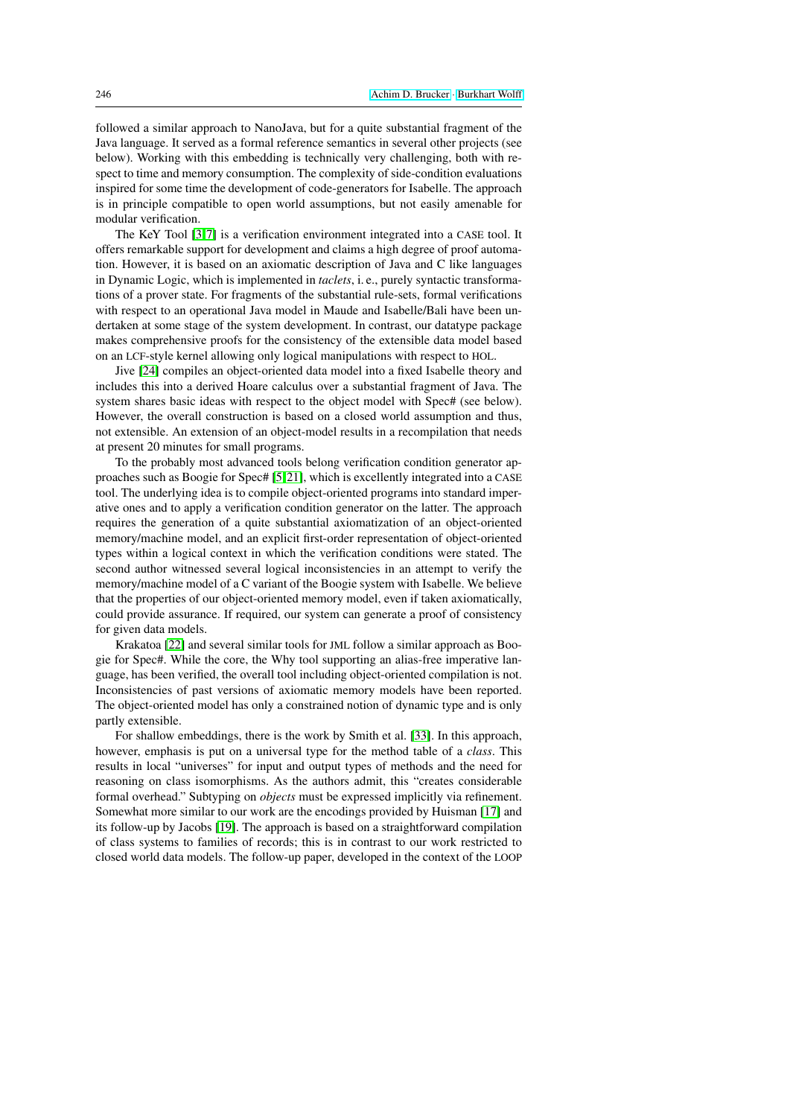followed a similar approach to NanoJava, but for a quite substantial fragment of the Java language. It served as a formal reference semantics in several other projects (see below). Working with this embedding is technically very challenging, both with respect to time and memory consumption. The complexity of side-condition evaluations inspired for some time the development of code-generators for Isabelle. The approach is in principl[e c](#page-28-4)[om](#page-28-5)patible to open world assumptions, but not easily amenable for modular verification.

The KeY Tool [3, 7] is a verification environment integrated into a CASE tool. It offers remarkable support for development and claims a high degree of proof automation. However, it is based on an axiomatic description of Java and C like languages in Dynamic Logic, which is implemented in *taclets*, i. e., purely syntactic transformations of a prover state. For fragments of the substantial rule-sets, formal verifications with respect to an operational Java model in Maude and Isabelle/Bali have been undertaken at some stage of the system development. In contrast, our datatype package ma[kes](#page-29-11) comprehensive proofs for the consistency of the extensible data model based on an LCF-style kernel allowing only logical manipulations with respect to HOL.

Jive [24] compiles an object-oriented data model into a fixed Isabelle theory and includes this into a derived Hoare calculus over a substantial fragment of Java. The system shares basic ideas with respect to the object model with Spec# (see below). However, the overall construction is based on a closed world assumption and thus, not extensible. An extension of an object-model results in a recompilation that needs at present 20 minutes for sma[ll](#page-28-6) [prog](#page-29-10)rams.

To the probably most advanced tools belong verification condition generator approaches such as Boogie for Spec# [5, 21], which is excellently integrated into a CASE tool. The underlying idea is to compile object-oriented programs into standard imperative ones and to apply a verification condition generator on the latter. The approach requires the generation of a quite substantial axiomatization of an object-oriented memory/machine model, and an explicit first-order representation of object-oriented types within a logical context in which the verification conditions were stated. The second author witnessed several logical inconsistencies in an attempt to verify the memory/machine model of a C variant of the Boogie system with Isabelle. We believe that the properties of our object-oriented memory model, even if taken axiomatically, could pr[ovi](#page-29-0)de assurance. If required, our system can generate a proof of consistency for given data models.

Krakatoa [22] and several similar tools for JML follow a similar approach as Boogie for Spec#. While the core, the Why tool supporting an alias-free imperative language, has been verified, the overall tool including object-oriented compilation is not. Inconsistencies of past versions of axiomatic memory models have been reported. The object-oriented model has only a constrained notion [of d](#page-30-4)ynamic type and is only partly extensible.

For shallow embeddings, there is the work by Smith et al. [33]. In this approach, however, emphasis is put on a universal type for the method table of a *class*. This results in local "universes" for input and output types of methods and the need for reasoning on class isomorphisms. As the authors admit, this "create[s co](#page-29-12)nsiderable formal overhead." [Sub](#page-29-13)typing on *objects* must be expressed implicitly via refinement. Somewhat more similar to our work are the encodings provided by Huisman [17] and its follow-up by Jacobs [19]. The approach is based on a straightforward compilation of class systems to families of records; this is in contrast to our work restricted to closed world data models. The follow-up paper, developed in the context of the LOOP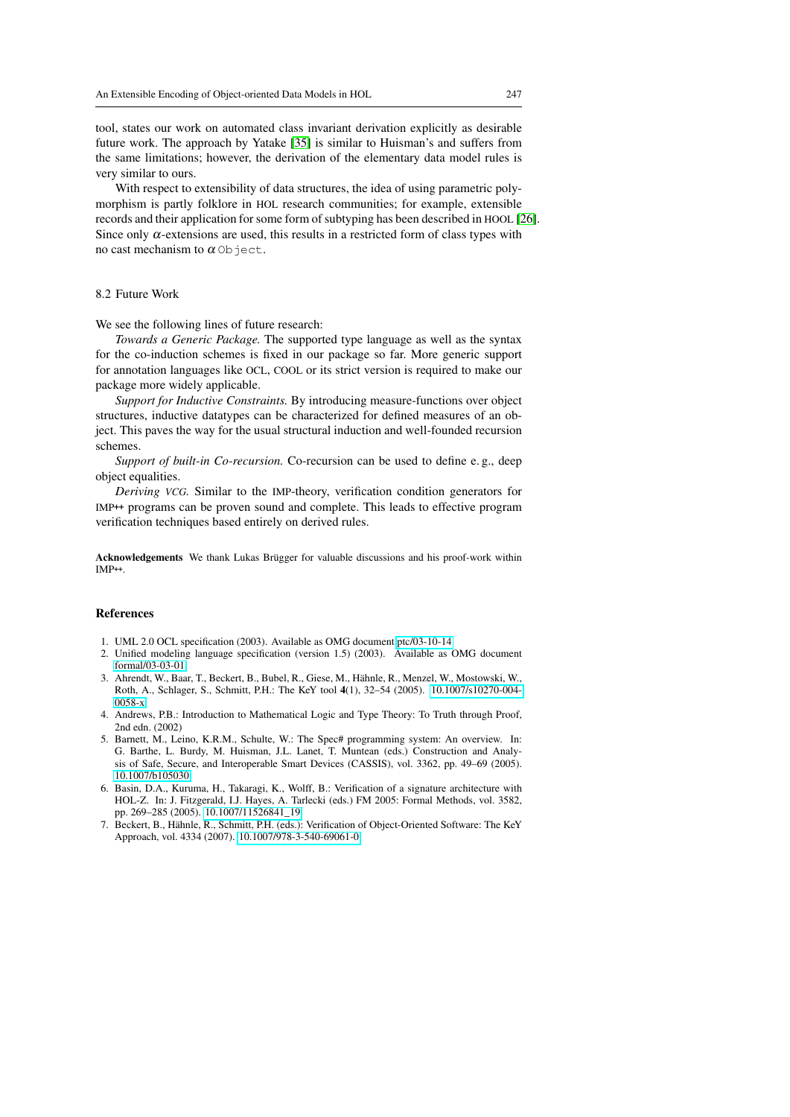tool, states our work on automated class invariant derivation explicitly as desirable future work. The approach by Yatake [35] is similar to Huisman's and suffers from the same limitations; however, the derivation of the elementary data model rules is very similar to ours.

With respect to extensibility of data structures, the idea of using parametri[c po](#page-29-14)lymorphism is partly folklore in HOL research communities; for example, extensible records and their application for some form of subtyping has been described in HOOL [26]. Since only  $\alpha$ -extensions are used, this results in a restricted form of class types with no cast mechanism to  $\alpha$  Object.

# 8.2 Future Work

We see the following lines of future research:

*Towards a Generic Package.* The supported type language as well as the syntax for the co-induction schemes is fixed in our package so far. More generic support for annotation languages like OCL, COOL or its strict version is required to make our package more widely applicable.

*Support for Inductive Constraints.* By introducing measure-functions over object structures, inductive datatypes can be characterized for defined measures of an object. This paves the way for the usual structural induction and well-founded recursion schemes.

*Support of built-in Co-recursion.* Co-recursion can be used to define e. g., deep object equalities.

*Deriving VCG.* Similar to the IMP-theory, verification condition generators for IMP++ programs can be proven sound and complete. This leads to effective program verification techniques based entirely on derived rules.

Acknowledgements We thank Lukas Brügger for valuable discussions and his proof-work within  $IMP++$ .

#### <span id="page-28-3"></span><span id="page-28-2"></span>References

- <span id="page-28-4"></span>1. [UML 2.0](http://www.omg.org/cgi-bin/doc?formal/03-03-01) OCL specification (2003). Available as OMG document ptc/03-10-14
- 2. Unified modeling language specification (version 1.5) (2003). [Available as OMG doc](http://dx.doi.org/10.1007/s10270-004-0058-x)ument formal/03-03-01
- <span id="page-28-1"></span>[3.](http://dx.doi.org/10.1007/s10270-004-0058-x) Ahrendt, W., Baar, T., Beckert, B., Bubel, R., Giese, M., Hähnle, R., Menzel, W., Mostowski, W., Roth, A., Schlager, S., Schmitt, P.H.: The KeY tool 4(1), 32–54 (2005). 10.1007/s10270-004- 0058-x
- <span id="page-28-6"></span>4. Andrews, P.B.: Introduction to Mathematical Logic and Type Theory: To Truth through Proof, 2nd edn. (2002)
- <span id="page-28-0"></span>5. Barnett, M., Leino, K.R.M., Schulte, W.: The Spec# programming system: An overview. In: [G. Barthe,](http://dx.doi.org/10.1007/b105030) L. Burdy, M. Huisman, J.L. Lanet, T. Muntean (eds.) Construction and Analysis of Safe, Secure, and Interoperable Smart Devices (CASSIS), vol. 3362, pp. 49–69 (2005). 10.1007/b105030
- <span id="page-28-5"></span>6. Basin, D.A., [Kuruma, H., Takaragi, K](http://dx.doi.org/10.1007/11526841_19)., Wolff, B.: Verification of a signature architecture with HOL-Z. In: J. Fitzgerald, I.J. Hayes, A. Tarlecki (eds.) FM 2005: Formal Methods, vol. 3582, pp. 269–285 (2005). [10.1007/11526841\\_19](http://dx.doi.org/10.1007/978-3-540-69061-0)
- 7. Beckert, B., Hähnle, R., Schmitt, P.H. (eds.): Verification of Object-Oriented Software: The KeY Approach, vol. 4334 (2007). 10.1007/978-3-540-69061-0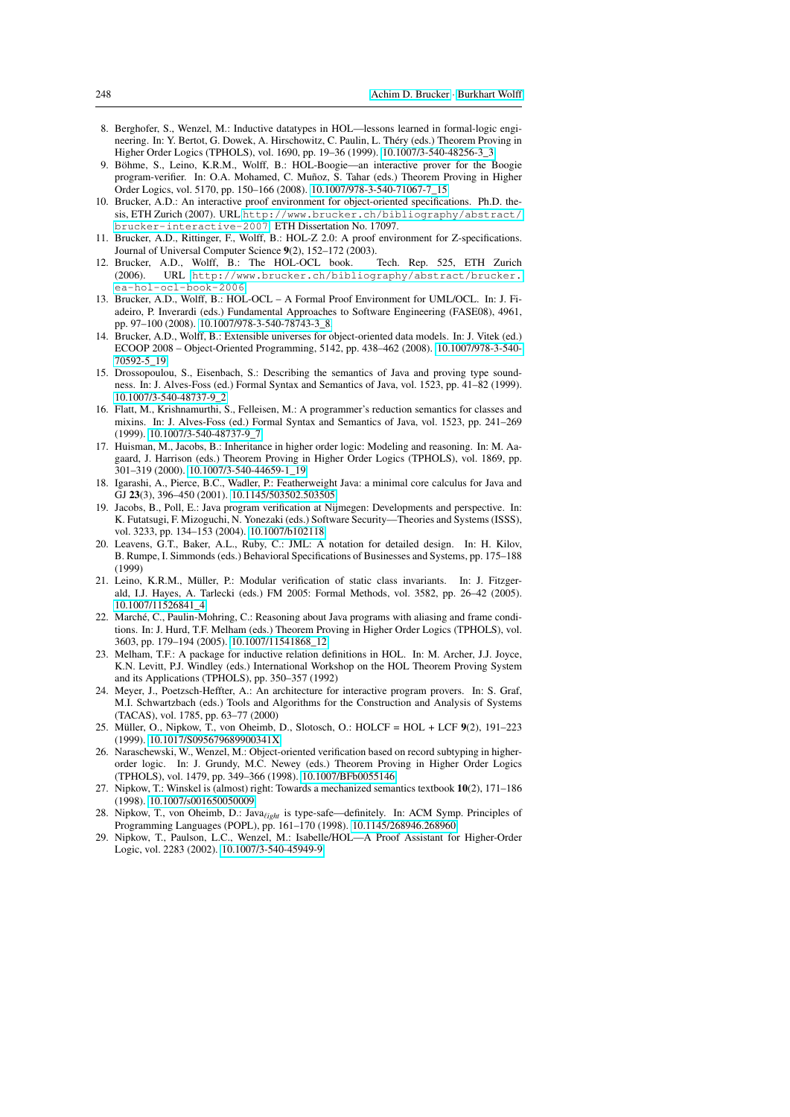- <span id="page-29-1"></span>8. Berghofer, S., Wenzel, M.: Inductive datatypes in HO[L—lessons learned in forma](http://dx.doi.org/10.1007/3-540-48256-3_3)l-logic engineering. In: Y. Bertot, G. Dowek, A. Hirschowitz, C. Paulin, L. Théry (eds.) Theorem Proving in Higher Order Logics (TPHOLS), vol. 1690, pp. 19–36 (1999). 10.1007/3-540-48256-3\_3
- <span id="page-29-7"></span>9. Böhme, S., Leino, K.R.M., Wolff, [B.: HOL-Boogie—an interactive](http://dx.doi.org/10.1007/978-3-540-71067-7_15) prover for the Boogie program-verifier. In: O.A. Mohamed, C. Muñoz, S. Tahar (eds.) Theorem Proving in Higher Order Logics, vol. 517[0, pp. 150–166 \(2008\). 10.1007/978-3-540-71067-7\\_15](http://www.brucker.ch/bibliography/abstract/brucker-interactive-2007)
- <span id="page-29-3"></span>10. [Brucker, A.D.: An interactive](http://www.brucker.ch/bibliography/abstract/brucker-interactive-2007) proof environment for object-oriented specifications. Ph.D. thesis, ETH Zurich (2007). URL http://www.brucker.ch/bibliography/abstract/ brucker-interactive-2007. ETH Dissertation No. 17097.
- <span id="page-29-6"></span>11. Brucker, A.D., Rittinger, F., Wolff, B.: HOL-Z 2.0: A proof environment for Z-specifications. Journal of [Universal Computer Science](http://www.brucker.ch/bibliography/abstract/brucker.ea-hol-ocl-book-2006) 9(2), 152–172 (2003).
- <span id="page-29-5"></span>12. [Brucker, A.D., Wolff,](http://www.brucker.ch/bibliography/abstract/brucker.ea-hol-ocl-book-2006) B.: The HOL-OCL book. Tech. Rep. 525, ETH Zurich (2006). URL http://www.brucker.ch/bibliography/abstract/brucker. ea-hol-ocl-book-2006
- <span id="page-29-8"></span>13. Brucker, A.[D., Wolff, B.: HOL-OCL – A Fo](http://dx.doi.org/10.1007/978-3-540-78743-3_8)rmal Proof Environment for UML/OCL. In: J. Fiadeiro, P. Inverardi (eds.) Fundamental Approaches to Software En[gineering \(FASE08\),](http://dx.doi.org/10.1007/978-3-540-70592-5_19) 4961, pp. 97–100 (2008). 10.1007/978-3-540-78743-3\_8.
- 14. [Bruck](http://dx.doi.org/10.1007/978-3-540-70592-5_19)er, A.D., Wolff, B.: Extensible universes for object-oriented data models. In: J. Vitek (ed.) ECOOP 2008 – Object-Oriented Programming, 5142, pp. 438–462 (2008). 10.1007/978-3-540- 70592-5\_19.
- 15. [Drossopoulou, S., E](http://dx.doi.org/10.1007/3-540-48737-9_2)isenbach, S.: Describing the semantics of Java and proving type soundness. In: J. Alves-Foss (ed.) Formal Syntax and Semantics of Java, vol. 1523, pp. 41–82 (1999). 10.1007/3-540-48737-9\_2
- <span id="page-29-12"></span>16. [Flatt, M., Krishnamurthi, S.,](http://dx.doi.org/10.1007/3-540-48737-9_7) Felleisen, M.: A programmer's reduction semantics for classes and mixins. In: J. Alves-Foss (ed.) Formal Syntax and Semantics of Java, vol. 1523, pp. 241–269 (1999). 10.1007/3-540-48737-9\_7
- <span id="page-29-9"></span>17. Huisman, [M., Jacobs, B.: Inheritance i](http://dx.doi.org/10.1007/3-540-44659-1_19)n higher order logic: Modeling and reasoning. In: M. Aagaard, J. Harrison (eds.) Theorem Proving in Higher Order Logics (TPHOLS), vol. 1869, pp. 301–319 (2000). 10[.1007/3-540-44659-1\\_19](http://dx.doi.org/10.1145/503502.503505)
- <span id="page-29-13"></span>18. Igarashi, A., Pierce, B.C., Wadler, P.: Featherweight Java: a minimal core calculus for Java and GJ 23(3), 396–450 (2001). 10.1145/503502.503505
- 19. Jacobs, B., Poll, E.: Jav[a program verificat](http://dx.doi.org/10.1007/b102118)ion at Nijmegen: Developments and perspective. In: K. Futatsugi, F. Mizoguchi, N. Yonezaki (eds.) Software Security—Theories and Systems (ISSS), vol. 3233, pp. 134–153 (2004). 10.1007/b102118
- <span id="page-29-10"></span>20. Leavens, G.T., Baker, A.L., Ruby, C.: JML: A notation for detailed design. In: H. Kilov, B. Rumpe, I. Simmonds (eds.) Behavioral Specifications of Businesses and Systems, pp. 175–188 (1999)
- <span id="page-29-0"></span>21. [Leino, K.R.M.](http://dx.doi.org/10.1007/11526841_4), Müller, P.: Modular verification of static class invariants. In: J. Fitzgerald, I.J. Hayes, A. Tarlecki (eds.) FM 2005: Formal Methods, vol. 3582, pp. 26–42 (2005). 10.1007/11526841\_4
- 22. Marché, C., Paulin-[Mohring, C.: Reasoning](http://dx.doi.org/10.1007/11541868_12) about Java programs with aliasing and frame conditions. In: J. Hurd, T.F. Melham (eds.) Theorem Proving in Higher Order Logics (TPHOLS), vol. 3603, pp. 179–194 (2005). 10.1007/11541868\_12
- <span id="page-29-11"></span>23. Melham, T.F.: A package for inductive relation definitions in HOL. In: M. Archer, J.J. Joyce, K.N. Levitt, P.J. Windley (eds.) International Workshop on the HOL Theorem Proving System and its Applications (TPHOLS), pp. 350–357 (1992)
- <span id="page-29-2"></span>24. Meyer, J., Poetzsch-Heffter, A.: An architecture for interactive program provers. In: S. Graf, M.I. Schwartzbach (eds.) Tools and Algorithms for the Construction and Analysis of Systems ([TACAS\), vol. 1785, pp. 63–77 \(](http://dx.doi.org/10.1017/S095679689900341X)2000)
- <span id="page-29-14"></span>25. Müller, O., Nipkow, T., von Oheimb, D., Slotosch, O.: HOLCF = HOL + LCF 9(2), 191–223 (1999). 10.1017/S095679689900341X
- 26. Naraschewski, W., Wenzel, M.: Obje[ct-oriented verification](http://dx.doi.org/10.1007/BFb0055146) based on record subtyping in higherorder logic. In: J. Grundy, M.C. Newey (eds.) Theorem Proving in Higher Order Logics ([TPHOLS\), vol. 1479, pp.](http://dx.doi.org/10.1007/s001650050009) 349–366 (1998). 10.1007/BFb0055146
- 27. Nipkow, T.: Winskel is (almost) right: Towards a [mechanized semantics tex](http://dx.doi.org/10.1145/268946.268960)tbook 10(2), 171–186 (1998). 10.1007/s001650050009
- <span id="page-29-4"></span>28. Nipkow, T., von Oheimb, D.: Java<sub>light</sub> is type-safe-definitely. In: ACM Symp. Principles of Programming La[nguages \(POPL\), pp. 161–](http://dx.doi.org/10.1007/3-540-45949-9)170 (1998). 10.1145/268946.268960
- 29. Nipkow, T., Paulson, L.C., Wenzel, M.: Isabelle/HOL—A Proof Assistant for Higher-Order Logic, vol. 2283 (2002). 10.1007/3-540-45949-9